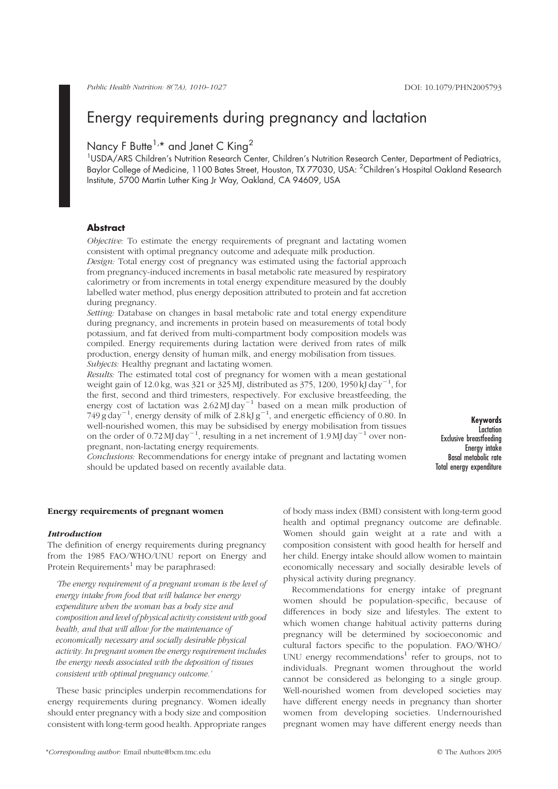# Nancy F Butte<sup>1,\*</sup> and Janet C King<sup>2</sup>

<sup>1</sup>USDA/ARS Children's Nutrition Research Center, Children's Nutrition Research Center, Department of Pediatrics, Baylor College of Medicine, 1100 Bates Street, Houston, TX 77030, USA: <sup>2</sup>Children's Hospital Oakland Research Institute, 5700 Martin Luther King Jr Way, Oakland, CA 94609, USA

### **Abstract**

Objective: To estimate the energy requirements of pregnant and lactating women consistent with optimal pregnancy outcome and adequate milk production.

Design: Total energy cost of pregnancy was estimated using the factorial approach from pregnancy-induced increments in basal metabolic rate measured by respiratory calorimetry or from increments in total energy expenditure measured by the doubly labelled water method, plus energy deposition attributed to protein and fat accretion during pregnancy.

Setting: Database on changes in basal metabolic rate and total energy expenditure during pregnancy, and increments in protein based on measurements of total body potassium, and fat derived from multi-compartment body composition models was compiled. Energy requirements during lactation were derived from rates of milk production, energy density of human milk, and energy mobilisation from tissues. Subjects: Healthy pregnant and lactating women.

Results: The estimated total cost of pregnancy for women with a mean gestational weight gain of 12.0 kg, was 321 or 325 MJ, distributed as 375, 1200, 1950 kJ day<sup>-1</sup>, for the first, second and third trimesters, respectively. For exclusive breastfeeding, the energy cost of lactation was  $2.62 \text{ MJ day}^{-1}$  based on a mean milk production of  $749 \text{ g day}^{-1}$ , energy density of milk of  $2.8 \text{ kJ g}^{-1}$ , and energetic efficiency of 0.80. In well-nourished women, this may be subsidised by energy mobilisation from tissues on the order of 0.72 MJ day<sup>-1</sup>, resulting in a net increment of 1.9 MJ day<sup>-1</sup> over nonpregnant, non-lactating energy requirements.

Keywords Lactation Exclusive breastfeeding Energy intake Basal metabolic rate Total energy expenditure

Conclusions: Recommendations for energy intake of pregnant and lactating women should be updated based on recently available data.

#### Energy requirements of pregnant women

#### Introduction

The definition of energy requirements during pregnancy from the 1985 FAO/WHO/UNU report on Energy and Protein Requirements<sup>1</sup> may be paraphrased:

'The energy requirement of a pregnant woman is the level of energy intake from food that will balance her energy expenditure when the woman has a body size and composition and level of physical activity consistent with good health, and that will allow for the maintenance of economically necessary and socially desirable physical activity. In pregnant women the energy requirement includes the energy needs associated with the deposition of tissues consistent with optimal pregnancy outcome.'

These basic principles underpin recommendations for energy requirements during pregnancy. Women ideally should enter pregnancy with a body size and composition consistent with long-term good health. Appropriate ranges of body mass index (BMI) consistent with long-term good health and optimal pregnancy outcome are definable. Women should gain weight at a rate and with a composition consistent with good health for herself and her child. Energy intake should allow women to maintain economically necessary and socially desirable levels of physical activity during pregnancy.

Recommendations for energy intake of pregnant women should be population-specific, because of differences in body size and lifestyles. The extent to which women change habitual activity patterns during pregnancy will be determined by socioeconomic and cultural factors specific to the population. FAO/WHO/ UNU energy recommendations<sup>1</sup> refer to groups, not to individuals. Pregnant women throughout the world cannot be considered as belonging to a single group. Well-nourished women from developed societies may have different energy needs in pregnancy than shorter women from developing societies. Undernourished pregnant women may have different energy needs than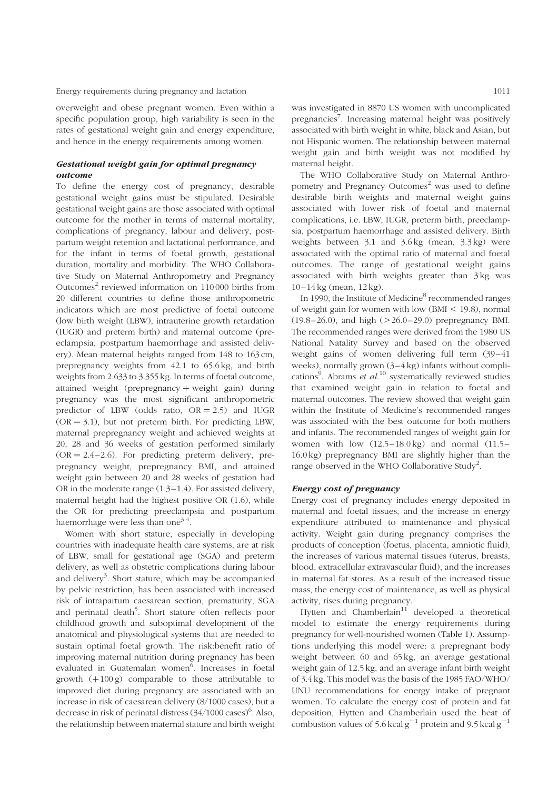overweight and obese pregnant women. Even within a specific population group, high variability is seen in the rates of gestational weight gain and energy expenditure, and hence in the energy requirements among women.

# Gestational weight gain for optimal pregnancy outcome

To define the energy cost of pregnancy, desirable gestational weight gains must be stipulated. Desirable gestational weight gains are those associated with optimal outcome for the mother in terms of maternal mortality, complications of pregnancy, labour and delivery, postpartum weight retention and lactational performance, and for the infant in terms of foetal growth, gestational duration, mortality and morbidity. The WHO Collaborative Study on Maternal Anthropometry and Pregnancy Outcomes $2$  reviewed information on 110 000 births from 20 different countries to define those anthropometric indicators which are most predictive of foetal outcome (low birth weight (LBW), intrauterine growth retardation (IUGR) and preterm birth) and maternal outcome (preeclampsia, postpartum haemorrhage and assisted delivery). Mean maternal heights ranged from 148 to 163 cm, prepregnancy weights from 42.1 to 65.6 kg, and birth weights from 2.633 to 3.355 kg. In terms of foetal outcome, attained weight (prepregnancy  $+$  weight gain) during pregnancy was the most significant anthropometric predictor of LBW (odds ratio,  $OR = 2.5$ ) and IUGR  $(OR = 3.1)$ , but not preterm birth. For predicting LBW, maternal prepregnancy weight and achieved weights at 20, 28 and 36 weeks of gestation performed similarly  $(OR = 2.4 - 2.6)$ . For predicting preterm delivery, prepregnancy weight, prepregnancy BMI, and attained weight gain between 20 and 28 weeks of gestation had OR in the moderate range  $(1.3-1.4)$ . For assisted delivery, maternal height had the highest positive OR (1.6), while the OR for predicting preeclampsia and postpartum haemorrhage were less than one<sup>3,4</sup>.

Women with short stature, especially in developing countries with inadequate health care systems, are at risk of LBW, small for gestational age (SGA) and preterm delivery, as well as obstetric complications during labour and delivery<sup>3</sup>. Short stature, which may be accompanied by pelvic restriction, has been associated with increased risk of intrapartum caesarean section, prematurity, SGA and perinatal death<sup>5</sup>. Short stature often reflects poor childhood growth and suboptimal development of the anatomical and physiological systems that are needed to sustain optimal foetal growth. The risk:benefit ratio of improving maternal nutrition during pregnancy has been evaluated in Guatemalan women<sup>6</sup>. Increases in foetal growth  $(+100 g)$  comparable to those attributable to improved diet during pregnancy are associated with an increase in risk of caesarean delivery (8/1000 cases), but a decrease in risk of perinatal distress  $(34/1000 \text{ cases})^6$ . Also, the relationship between maternal stature and birth weight

was investigated in 8870 US women with uncomplicated pregnancies<sup>7</sup>. Increasing maternal height was positively associated with birth weight in white, black and Asian, but not Hispanic women. The relationship between maternal weight gain and birth weight was not modified by maternal height.

The WHO Collaborative Study on Maternal Anthropometry and Pregnancy Outcomes<sup>2</sup> was used to define desirable birth weights and maternal weight gains associated with lower risk of foetal and maternal complications, i.e. LBW, IUGR, preterm birth, preeclampsia, postpartum haemorrhage and assisted delivery. Birth weights between 3.1 and 3.6 kg (mean, 3.3 kg) were associated with the optimal ratio of maternal and foetal outcomes. The range of gestational weight gains associated with birth weights greater than 3 kg was 10–14 kg (mean, 12 kg).

In 1990, the Institute of Medicine<sup>8</sup> recommended ranges of weight gain for women with low  $(BMI < 19.8)$ , normal  $(19.8–26.0)$ , and high  $(>26.0–29.0)$  prepregnancy BMI. The recommended ranges were derived from the 1980 US National Natality Survey and based on the observed weight gains of women delivering full term (39-41 weeks), normally grown  $(3-4 \text{ kg})$  infants without complications<sup>9</sup>. Abrams et al.<sup>10</sup> systematically reviewed studies that examined weight gain in relation to foetal and maternal outcomes. The review showed that weight gain within the Institute of Medicine's recommended ranges was associated with the best outcome for both mothers and infants. The recommended ranges of weight gain for women with low  $(12.5-18.0 \text{ kg})$  and normal  $(11.5-$ 16.0 kg) prepregnancy BMI are slightly higher than the range observed in the WHO Collaborative Study<sup>2</sup>.

### Energy cost of pregnancy

Energy cost of pregnancy includes energy deposited in maternal and foetal tissues, and the increase in energy expenditure attributed to maintenance and physical activity. Weight gain during pregnancy comprises the products of conception (foetus, placenta, amniotic fluid), the increases of various maternal tissues (uterus, breasts, blood, extracellular extravascular fluid), and the increases in maternal fat stores. As a result of the increased tissue mass, the energy cost of maintenance, as well as physical activity, rises during pregnancy.

Hytten and Chamberlain<sup>11</sup> developed a theoretical model to estimate the energy requirements during pregnancy for well-nourished women [\(Table](#page-2-0) 1). Assumptions underlying this model were: a prepregnant body weight between 60 and 65 kg, an average gestational weight gain of 12.5 kg, and an average infant birth weight of 3.4 kg. This model was the basis of the 1985 FAO/WHO/ UNU recommendations for energy intake of pregnant women. To calculate the energy cost of protein and fat deposition, Hytten and Chamberlain used the heat of combustion values of 5.6 kcal  $g^{-1}$  protein and 9.5 kcal  $g^{-1}$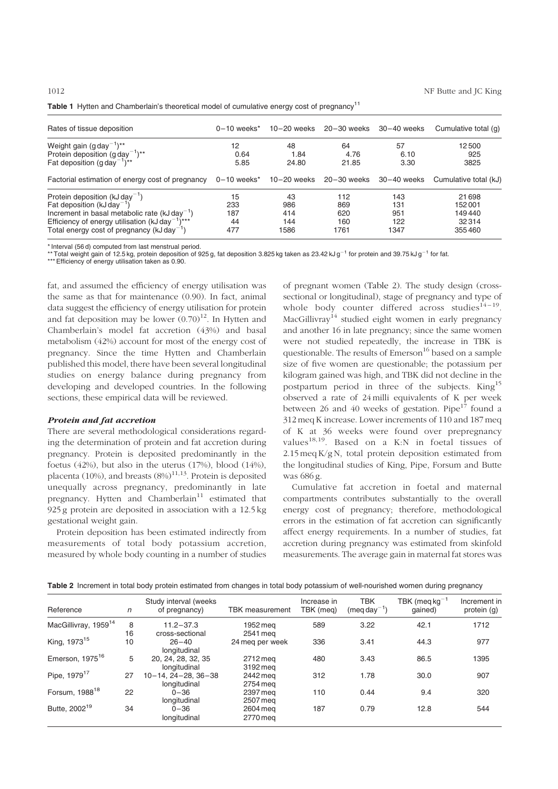| Rates of tissue deposition                                     | $0-10$ weeks <sup>*</sup> | $10 - 20$ weeks | $20 - 30$ weeks | $30 - 40$ weeks | Cumulative total (g)  |
|----------------------------------------------------------------|---------------------------|-----------------|-----------------|-----------------|-----------------------|
| Weight gain $(g day^{-1})^{**}$                                | 12                        | 48              | 64              | 57              | 12500                 |
| Protein deposition $(g \, \text{day}^{-1})^{**}$               | 0.64                      | 1.84            | 4.76            | 6.10            | 925                   |
| Fat deposition $(g \text{ day}^{-1})^{**}$                     | 5.85                      | 24.80           | 21.85           | 3.30            | 3825                  |
| Factorial estimation of energy cost of pregnancy               | $0-10$ weeks*             | $10 - 20$ weeks | 20–30 weeks     | $30 - 40$ weeks | Cumulative total (kJ) |
| Protein deposition $(kJday^{-1})$                              | 15                        | 43              | 112             | 143             | 21698                 |
| Fat deposition (kJ day <sup>-1</sup> )                         | 233                       | 986             | 869             | 131             | 152001                |
| Increment in basal metabolic rate $(kJ \, \text{day}^{-1})$    | 187                       | 414             | 620             | 951             | 149440                |
| Efficiency of energy utilisation ( $kJ$ day <sup>-1</sup> )*** | 44                        | 144             | 160             | 122             | 32314                 |
| Total energy cost of pregnancy ( $kJ$ day <sup>-1</sup> )      | 477                       | 1586            | 1761            | 1347            | 355460                |

<span id="page-2-0"></span>

|  | Table 1 Hytten and Chamberlain's theoretical model of cumulative energy cost of pregnancy <sup>11</sup> |  |  |
|--|---------------------------------------------------------------------------------------------------------|--|--|
|--|---------------------------------------------------------------------------------------------------------|--|--|

\* Interval (56 d) computed from last menstrual period.<br>\*\*Total weight gain of 12.5 kg, protein deposition of 925 g, fat deposition 3.825 kg taken as 23.42 kJ g<sup>–1</sup> for protein and 39.75 kJ g<sup>–1</sup> for fat.

\*\*\* Efficiency of energy utilisation taken as 0.90.

fat, and assumed the efficiency of energy utilisation was the same as that for maintenance (0.90). In fact, animal data suggest the efficiency of energy utilisation for protein and fat deposition may be lower  $(0.70)^{12}$ . In Hytten and Chamberlain's model fat accretion (43%) and basal metabolism (42%) account for most of the energy cost of pregnancy. Since the time Hytten and Chamberlain published this model, there have been several longitudinal studies on energy balance during pregnancy from developing and developed countries. In the following sections, these empirical data will be reviewed.

#### Protein and fat accretion

There are several methodological considerations regarding the determination of protein and fat accretion during pregnancy. Protein is deposited predominantly in the foetus (42%), but also in the uterus (17%), blood (14%), placenta (10%), and breasts  $(8%)^{11,13}$ . Protein is deposited unequally across pregnancy, predominantly in late pregnancy. Hytten and  $Chamberlain<sup>11</sup>$  estimated that 925 g protein are deposited in association with a 12.5 kg gestational weight gain.

Protein deposition has been estimated indirectly from measurements of total body potassium accretion, measured by whole body counting in a number of studies of pregnant women (Table 2). The study design (crosssectional or longitudinal), stage of pregnancy and type of whole body counter differed across studies<sup>14-19</sup>. MacGillivray<sup>14</sup> studied eight women in early pregnancy and another 16 in late pregnancy; since the same women were not studied repeatedly, the increase in TBK is questionable. The results of  $Emerson<sup>16</sup>$  based on a sample size of five women are questionable; the potassium per kilogram gained was high, and TBK did not decline in the postpartum period in three of the subjects. King<sup>15</sup> observed a rate of 24 milli equivalents of K per week between 26 and 40 weeks of gestation. Pipe $17$  found a 312 meq K increase. Lower increments of 110 and 187 meq of K at 36 weeks were found over prepregnancy values<sup>18,19</sup>. Based on a K:N in foetal tissues of 2.15 meq K/g N, total protein deposition estimated from the longitudinal studies of King, Pipe, Forsum and Butte was 686 g.

Cumulative fat accretion in foetal and maternal compartments contributes substantially to the overall energy cost of pregnancy; therefore, methodological errors in the estimation of fat accretion can significantly affect energy requirements. In a number of studies, fat accretion during pregnancy was estimated from skinfold measurements. The average gain in maternal fat stores was

| Table 2 Increment in total body protein estimated from changes in total body potassium of well-nourished women during pregnancy |  |  |  |  |  |
|---------------------------------------------------------------------------------------------------------------------------------|--|--|--|--|--|
|                                                                                                                                 |  |  |  |  |  |

| Reference                        | $\sqrt{n}$ | Study interval (weeks<br>of pregnancy)    | <b>TBK</b> measurement | Increase in<br>TBK (meg) | <b>TBK</b><br>$(meq day-1)$ | TBK (meq $kg^{-1}$<br>qained) | Increment in<br>protein (g) |
|----------------------------------|------------|-------------------------------------------|------------------------|--------------------------|-----------------------------|-------------------------------|-----------------------------|
| MacGillivray, 1959 <sup>14</sup> | 8<br>16    | $11.2 - 37.3$<br>cross-sectional          | 1952 mea<br>2541 mea   | 589                      | 3.22                        | 42.1                          | 1712                        |
| King, 1973 <sup>15</sup>         | 10         | $26 - 40$<br>longitudinal                 | 24 meg per week        | 336                      | 3.41                        | 44.3                          | 977                         |
| Emerson, 1975 <sup>16</sup>      | 5          | 20, 24, 28, 32, 35<br>longitudinal        | 2712 meg<br>3192 meg   | 480                      | 3.43                        | 86.5                          | 1395                        |
| Pipe, 1979 <sup>17</sup>         | 27         | $10 - 14.24 - 28.36 - 38$<br>longitudinal | 2442 meg<br>2754 meg   | 312                      | 1.78                        | 30.0                          | 907                         |
| Forsum, 1988 <sup>18</sup>       | 22         | $0 - 36$<br>longitudinal                  | 2397 meg<br>2507 meg   | 110                      | 0.44                        | 9.4                           | 320                         |
| Butte, 2002 <sup>19</sup>        | 34         | $0 - 36$<br>longitudinal                  | 2604 mea<br>2770 meg   | 187                      | 0.79                        | 12.8                          | 544                         |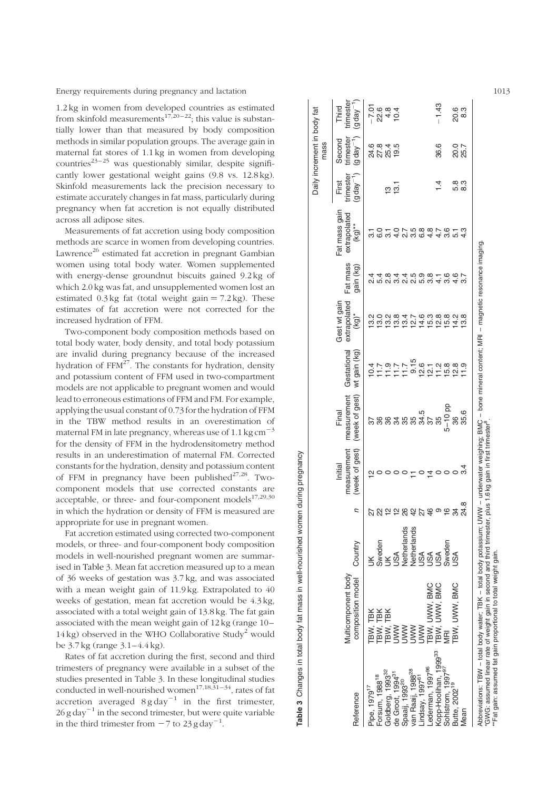<span id="page-3-0"></span>1.2 kg in women from developed countries as estimated from skinfold measurements<sup>17,20-22</sup>; this value is substantially lower than that measured by body composition methods in similar population groups. The average gain in maternal fat stores of 1.1 kg in women from developing countries<sup>23-25</sup> was questionably similar, despite significantly lower gestational weight gains (9.8 vs. 12.8 kg). Skinfold measurements lack the precision necessary to estimate accurately changes in fat mass, particularly during pregnancy when fat accretion is not equally distributed across all adipose sites.

Measurements of fat accretion using body composition methods are scarce in women from developing countries. Lawrence<sup>26</sup> estimated fat accretion in pregnant Gambian women using total body water. Women supplemented with energy-dense groundnut biscuits gained 9.2 kg of which 2.0 kg was fat, and unsupplemented women lost an estimated  $0.3 \text{ kg}$  fat (total weight gain = 7.2 kg). These estimates of fat accretion were not corrected for the increased hydration of FFM.

Two-component body composition methods based on total body water, body density, and total body potassium are invalid during pregnancy because of the increased hydration of  $FFM<sup>27</sup>$ . The constants for hydration, density and potassium content of FFM used in two-compartment models are not applicable to pregnant women and would lead to erroneous estimations of FFM and FM. For example, applying the usual constant of 0.73 for the hydration of FFM in the TBW method results in an overestimation of maternal FM in late pregnancy, whereas use of 1.1 kg cm<sup> $-3$ </sup> for the density of FFM in the hydrodensitometry method results in an underestimation of maternal FM. Corrected constants for the hydration, density and potassium content of FFM in pregnancy have been published $27,28$ . Twocomponent models that use corrected constants are acceptable, or three- and four-component models $17,29,30$ in which the hydration or density of FFM is measured are appropriate for use in pregnant women.

Fat accretion estimated using corrected two-component models, or three- and four-component body composition models in well-nourished pregnant women are summarised in Table 3. Mean fat accretion measured up to a mean of 36 weeks of gestation was 3.7 kg, and was associated with a mean weight gain of 11.9 kg. Extrapolated to 40 weeks of gestation, mean fat accretion would be 4.3 kg, associated with a total weight gain of 13.8 kg. The fat gain associated with the mean weight gain of 12 kg (range 10–  $14 \text{ kg}$ ) observed in the WHO Collaborative Study<sup>2</sup> would be 3.7 kg (range 3.1–4.4 kg).

Rates of fat accretion during the first, second and third trimesters of pregnancy were available in a subset of the studies presented in Table 3. In these longitudinal studies conducted in well-nourished women<sup>17,18,31-34</sup>, rates of fat accretion averaged  $8$  g day<sup>-1</sup> in the first trimester,  $26$  g day<sup>-1</sup> in the second trimester, but were quite variable in the third trimester from  $-7$  to 23 g day<sup>-1</sup>.

|                                      |                                                                                                                                                             |                                                 |               |                                          |                                        |                                     |                                          |                       |                                            |                                   | Daily increment in body fat<br>mass  |                                                                                           |
|--------------------------------------|-------------------------------------------------------------------------------------------------------------------------------------------------------------|-------------------------------------------------|---------------|------------------------------------------|----------------------------------------|-------------------------------------|------------------------------------------|-----------------------|--------------------------------------------|-----------------------------------|--------------------------------------|-------------------------------------------------------------------------------------------|
| Reference                            | Multicomponent body<br>composition model                                                                                                                    | Country                                         | ς             | (week of gest)<br>measurement<br>Initial | (week of gest)<br>measurement<br>Final | Gestational<br>wt gain (kg)         | extrapolated<br>Gest wt gain<br>$(Kg)^*$ | Fat mass<br>gain (kg) | Fat mass gain<br>extrapolated<br>$(Kg)$ ** | trimester<br>$(g day-1)$<br>First | $(gday^{-1})$<br>trimester<br>Second | trimester<br>$(gday -$<br>Third                                                           |
| <sup>1</sup> ipe, 1979 <sup>17</sup> | TBW, TBK                                                                                                                                                    |                                                 | 22            | N                                        |                                        | 0.4                                 | $\frac{2}{3}$                            |                       |                                            |                                   |                                      | $-7.01$                                                                                   |
| orsum, 1988 <sup>18</sup>            |                                                                                                                                                             |                                                 |               |                                          |                                        |                                     | 13.0                                     | 5.4                   |                                            |                                   | 2 2 2 2 4<br>2 7 2 9 0<br>2 7 2 9 0  |                                                                                           |
| Goldberg, 1993 <sup>32</sup>         | TBW, TBK<br>TBW, TBK<br>UWW                                                                                                                                 | Sweden<br>UK                                    | <b>22282</b>  |                                          |                                        | $79770$<br>$779770$                 | 13.2                                     | 8.S                   |                                            | უ<br>ო                            |                                      | 24 0<br>0<br>0<br>0<br>0<br>0<br>0<br>0<br>0<br>0<br>0<br>0<br>0<br>0<br>0<br>0<br>0<br>1 |
| de Groot, 1994 <sup>31</sup>         |                                                                                                                                                             | <b>ASL</b>                                      |               |                                          |                                        |                                     | 13.8                                     | 3.4                   | $\frac{0}{4}$                              | $\frac{1}{2}$                     |                                      |                                                                                           |
| Spaaij, 1993 <sup>20</sup>           | <b>NNV</b>                                                                                                                                                  |                                                 |               |                                          |                                        |                                     | 13.4                                     | $\frac{4}{2}$         | j                                          |                                   |                                      |                                                                                           |
| ran Raaij, 1988 <sup>28</sup>        | <b>NNV</b>                                                                                                                                                  |                                                 |               |                                          |                                        |                                     | 12.7                                     | 2.5                   | ი<br>თ                                     |                                   |                                      |                                                                                           |
| indsay, 1997 <sup>61</sup>           | <b>MWN</b>                                                                                                                                                  | Netherlands<br>Netherlands<br>USA<br>USA<br>USA | 27            |                                          | 34.5                                   |                                     | 14.6                                     | 5.9                   | 6.8                                        |                                   |                                      |                                                                                           |
| ederman, 1997 <sup>96</sup>          |                                                                                                                                                             |                                                 |               | 4                                        |                                        |                                     | 15.3                                     | 3.8                   | 4.8                                        |                                   |                                      |                                                                                           |
| Kopp-Hoolihan, 1999 <sup>33</sup>    | TBW, UWW, BMC<br>TBW, UWW, BMC                                                                                                                              |                                                 | $4^{\circ}$   |                                          |                                        | $0 - 200$<br>$0 - 200$<br>$0 - 200$ | 12.8                                     |                       | 4.7                                        | $\bar{4}$                         | 36.6                                 | $-1.43$                                                                                   |
| Sohlstrom, 1997 <sup>97</sup>        | yiRi                                                                                                                                                        | hepews                                          | $\frac{6}{5}$ |                                          | $5 - 10$ pp                            |                                     | 15.8                                     | 3.6                   | 3.6                                        |                                   |                                      |                                                                                           |
| Butte, 2002 <sup>19</sup>            | BW, UWW, BMC                                                                                                                                                | JSA                                             | 34            |                                          |                                        | $\frac{8}{2}$                       | $\frac{2}{4}$                            |                       |                                            |                                   |                                      | (၆<br>(၁<br>(၁                                                                            |
| <b>Jean</b>                          |                                                                                                                                                             |                                                 | 24.8          |                                          | 35.6                                   |                                     | $\frac{8}{3}$                            |                       |                                            | စ် တိ<br>ကို ထိ                   | 0.0<br>25.7                          |                                                                                           |
|                                      | Abbreviations: TBW – total body water; TBK – total body potassium; UWW – underwater weighing; BMC – bone mineral content; MRI – magnetic resonance imaging. |                                                 |               |                                          |                                        |                                     |                                          |                       |                                            |                                   |                                      |                                                                                           |

Table 3 Changes in total body fat mass in well-nourished women during pregnancy

Table 3 Changes in total body fat mass in well-nourished women during pregnancy

\*GWG: assumed linear rate of weight gain in second and third trimester, plus 1.6 kg gain in first trimester8

\*\*Fat gain: assumed fat gain proportional to total weight gain.

.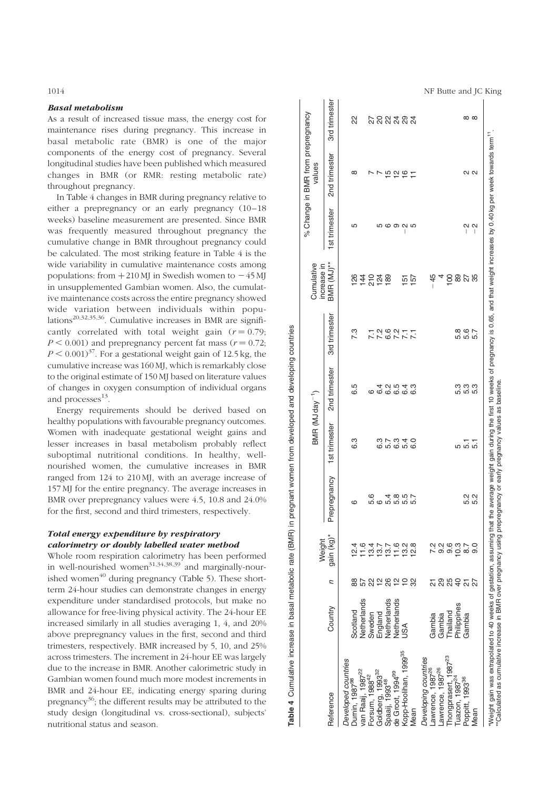### Basal metabolism

As a result of increased tissue mass, the energy cost for maintenance rises during pregnancy. This increase in basal metabolic rate (BMR) is one of the major components of the energy cost of pregnancy. Several longitudinal studies have been published which measured changes in BMR (or RMR: resting metabolic rate) throughout pregnancy.

In Table 4 changes in BMR during pregnancy relative to either a prepregnancy or an early pregnancy (10–18 weeks) baseline measurement are presented. Since BMR was frequently measured throughout pregnancy the cumulative change in BMR throughout pregnancy could be calculated. The most striking feature in Table 4 is the wide variability in cumulative maintenance costs among populations: from  $+210$  MJ in Swedish women to  $-45$  MJ in unsupplemented Gambian women. Also, the cumulative maintenance costs across the entire pregnancy showed wide variation between individuals within populations<sup>20,32,35,36</sup>. Cumulative increases in BMR are significantly correlated with total weight gain  $(r = 0.79)$ .  $P \le 0.001$ ) and prepregnancy percent fat mass ( $r = 0.72$ ;  $P \leq 0.001$ <sup>37</sup>. For a gestational weight gain of 12.5 kg, the cumulative increase was 160 MJ, which is remarkably close to the original estimate of 150 MJ based on literature values of changes in oxygen consumption of individual organs and processes<sup>13</sup>.

Energy requirements should be derived based on healthy populations with favourable pregnancy outcomes. Women with inadequate gestational weight gains and lesser increases in basal metabolism probably reflect suboptimal nutritional conditions. In healthy, wellnourished women, the cumulative increases in BMR ranged from 124 to 210 MJ, with an average increase of 157 MJ for the entire pregnancy. The average increases in BMR over prepregnancy values were 4.5, 10.8 and 24.0% for the first, second and third trimesters, respectively.

# Total energy expenditure by respiratory calorimetry or doubly labelled water method

Whole room respiration calorimetry has been performed in well-nourished women $31,34,38,39$  and marginally-nourished women<sup> $40$ </sup> during pregnancy ([Table](#page-5-0) 5). These shortterm 24-hour studies can demonstrate changes in energy expenditure under standardised protocols, but make no allowance for free-living physical activity. The 24-hour EE increased similarly in all studies averaging 1, 4, and 20% above prepregnancy values in the first, second and third trimesters, respectively. BMR increased by 5, 10, and 25% across trimesters. The increment in 24-hour EE was largely due to the increase in BMR. Another calorimetric study in Gambian women found much more modest increments in BMR and 24-hour EE, indicating energy sparing during pregnancy $36$ ; the different results may be attributed to the study design (longitudinal vs. cross-sectional), subjects' nutritional status and season.

<span id="page-4-0"></span>1014 **NF Butte and JC King** 

|                                                                                                                                                                                               |             |                          | Weight                                   |                         | BMR (MJ day <sup><math>-1</math></sup> ) |                    |                   | Cumulative<br>increase in |                                                                                                                                                                                                                                                                                                                                                                                                                     | % Change in BMR from prepregnancy<br>values                                                                                                    |                   |
|-----------------------------------------------------------------------------------------------------------------------------------------------------------------------------------------------|-------------|--------------------------|------------------------------------------|-------------------------|------------------------------------------|--------------------|-------------------|---------------------------|---------------------------------------------------------------------------------------------------------------------------------------------------------------------------------------------------------------------------------------------------------------------------------------------------------------------------------------------------------------------------------------------------------------------|------------------------------------------------------------------------------------------------------------------------------------------------|-------------------|
| Reference                                                                                                                                                                                     | Country     | с                        | gain (kg)*                               | Prepregnancy<br>I       | 1st trimester                            | 2nd trimester      | 3rd trimester     | BMR (MJ)**                | 1st trimester                                                                                                                                                                                                                                                                                                                                                                                                       | 2nd trimester                                                                                                                                  | 3rd trimester     |
| Developed countries                                                                                                                                                                           |             |                          |                                          |                         |                                          |                    |                   |                           |                                                                                                                                                                                                                                                                                                                                                                                                                     |                                                                                                                                                |                   |
| Durnin, 1987 <sup>98</sup>                                                                                                                                                                    | Scotland    | 88                       | 12.4                                     | ဖ                       | ვ<br>6                                   | 6.5                | 7.3               |                           | LO                                                                                                                                                                                                                                                                                                                                                                                                                  | ∞                                                                                                                                              | 22                |
| van Raaij, 1987 <sup>22</sup>                                                                                                                                                                 | Netherlands |                          |                                          |                         |                                          |                    |                   | 542558<br>54528           |                                                                                                                                                                                                                                                                                                                                                                                                                     |                                                                                                                                                |                   |
| Forsum, 1988 <sup>42</sup>                                                                                                                                                                    | Sweden      | ଧ୍ୟ                      |                                          |                         |                                          | $\circ$            | $\overline{2}$    |                           |                                                                                                                                                                                                                                                                                                                                                                                                                     |                                                                                                                                                |                   |
| Goldberg, 1993 <sup>32</sup>                                                                                                                                                                  | England     |                          |                                          |                         |                                          |                    |                   |                           |                                                                                                                                                                                                                                                                                                                                                                                                                     | P,                                                                                                                                             |                   |
| Spaaij, 1993 <sup>48</sup>                                                                                                                                                                    | Netherlands | 28                       |                                          |                         |                                          |                    |                   |                           |                                                                                                                                                                                                                                                                                                                                                                                                                     |                                                                                                                                                |                   |
| de Groot, 1994 <sup>99</sup>                                                                                                                                                                  | Netherlands |                          | $1.317100000$ $1.317100000$ $1.31710000$ | co doning<br>romanoning | 6 10 10 10<br>10 10 10 10                | cococo<br>4 cococo |                   |                           | <b>56925</b>                                                                                                                                                                                                                                                                                                                                                                                                        | 19297                                                                                                                                          | <u>ដូនអង្គ ដូ</u> |
| Kopp-Hoolihan, 1999 <sup>35</sup>                                                                                                                                                             | SA          | 유 드                      |                                          |                         |                                          |                    |                   | <u>نہ</u>                 | I                                                                                                                                                                                                                                                                                                                                                                                                                   |                                                                                                                                                |                   |
| lean                                                                                                                                                                                          |             | 8                        |                                          |                         | $\frac{0}{6}$                            |                    | $\overline{2}$    | 157                       |                                                                                                                                                                                                                                                                                                                                                                                                                     |                                                                                                                                                |                   |
| Developing countries                                                                                                                                                                          |             |                          |                                          |                         |                                          |                    |                   |                           |                                                                                                                                                                                                                                                                                                                                                                                                                     |                                                                                                                                                |                   |
| awrence, 1987 <sup>26</sup>                                                                                                                                                                   | Gambia      |                          |                                          |                         |                                          |                    |                   | $-45$                     |                                                                                                                                                                                                                                                                                                                                                                                                                     |                                                                                                                                                |                   |
| -awrence, 1987 <sup>26</sup>                                                                                                                                                                  | Gambia      | 8                        | <u>ა</u>                                 |                         |                                          |                    |                   |                           |                                                                                                                                                                                                                                                                                                                                                                                                                     |                                                                                                                                                |                   |
| Thongprasert, 1987 <sup>23</sup>                                                                                                                                                              | Thailand    | 88                       | 9.6                                      |                         |                                          |                    |                   | $\frac{8}{1}$             |                                                                                                                                                                                                                                                                                                                                                                                                                     |                                                                                                                                                |                   |
| Tuazon, 1987 <sup>24</sup>                                                                                                                                                                    | Philippines |                          | 10.3                                     |                         | 5                                        |                    |                   | 89                        |                                                                                                                                                                                                                                                                                                                                                                                                                     |                                                                                                                                                |                   |
| Poppitt, 1993 <sup>36</sup>                                                                                                                                                                   | Gambia      | $\overline{\mathcal{L}}$ | 8.7                                      | 2<br>5<br>5<br>5<br>5   | $\frac{1}{5}$ $\frac{1}{5}$              | ပင်<br>မေးကွယ်     | 2<br>2010<br>2010 | 25                        | Ν<br>$\begin{array}{c} \rule{0pt}{2ex} \rule{0pt}{2ex} \rule{0pt}{2ex} \rule{0pt}{2ex} \rule{0pt}{2ex} \rule{0pt}{2ex} \rule{0pt}{2ex} \rule{0pt}{2ex} \rule{0pt}{2ex} \rule{0pt}{2ex} \rule{0pt}{2ex} \rule{0pt}{2ex} \rule{0pt}{2ex} \rule{0pt}{2ex} \rule{0pt}{2ex} \rule{0pt}{2ex} \rule{0pt}{2ex} \rule{0pt}{2ex} \rule{0pt}{2ex} \rule{0pt}{2ex} \rule{0pt}{2ex} \rule{0pt}{2ex} \rule{0pt}{2ex} \rule{0pt}{$ | $\sim$ $\sim$                                                                                                                                  | $\infty$ $\infty$ |
| Mean                                                                                                                                                                                          |             | 27                       | ္ပင                                      |                         |                                          |                    |                   |                           | 2<br>$\begin{array}{c} \end{array}$                                                                                                                                                                                                                                                                                                                                                                                 |                                                                                                                                                |                   |
| "Calculated as cumulative increase in BMR over pregnancy using prepregnancy or early pregnancy values as baseline.<br>"Weight gain was extrapolated to 40 weeks of gestation, assuming that t |             |                          |                                          |                         |                                          |                    |                   |                           |                                                                                                                                                                                                                                                                                                                                                                                                                     | ne average weight gain during the first 10 weeks of pregnancy is 0.65, and that weight increases by 0.40kg per week towards term <sup>11</sup> |                   |

Table 4 Cumulative increase in basal metabolic rate (BMR) in pregnant women from developed and developing countries

Table 4 Cumulative increase in basal metabolic rate (BMR) in pregnant women from developed and developing countries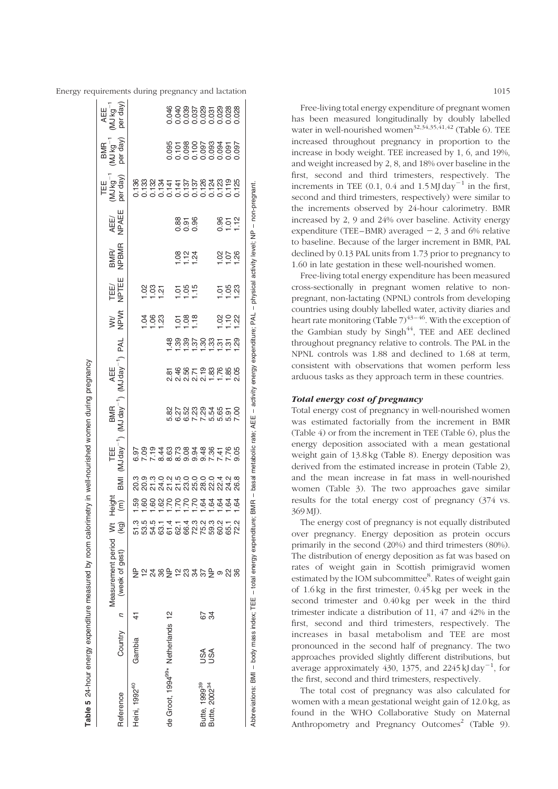<span id="page-5-0"></span>

|                                               |         |                | Table 5 24-hour energy expenditure measured by room calorimetry in well-nourished women during pregnancy |                                                                     |               |                                                                     |                |                                    |                                                                                                                 |                    |                 |               |               |                  |                |                       |                         |
|-----------------------------------------------|---------|----------------|----------------------------------------------------------------------------------------------------------|---------------------------------------------------------------------|---------------|---------------------------------------------------------------------|----------------|------------------------------------|-----------------------------------------------------------------------------------------------------------------|--------------------|-----------------|---------------|---------------|------------------|----------------|-----------------------|-------------------------|
| Reference                                     | Country | $\overline{c}$ | Measurement period Wt<br>(week of gest)                                                                  | (ka)                                                                | Teigh<br>Heig | MI                                                                  | "MJ dav<br>TEE | MJ day <sup>-1</sup><br><b>BMR</b> | $(MJday^{-1})$ PAL<br>AEE                                                                                       |                    | NH<br>NPW       | TEE/<br>NPTEE | BMR/<br>NPBMR | AEE/<br>NPAEE    | per day<br>TEE | per day<br><b>BMR</b> | per day<br>AEE<br>MJ kg |
| Heini, 1992 <sup>40</sup>                     | Gambia  |                | $\frac{\mathsf{p}}{\mathsf{p}}$<br>인                                                                     | 51.3                                                                |               | <sub>ិ</sub> ១ ១ ១ ១ ១ ១ ១ ១ ១ ។ ១ ១<br>៩ ៩ ភ ង ភ ភ ឌ ឌ ឌ ឌ ឌ ង ង ឌ |                |                                    |                                                                                                                 |                    |                 |               |               |                  |                |                       |                         |
|                                               |         |                | $\overline{24}$                                                                                          | 5 5 5 5 6 7 7 8 9 9 9 9<br>5 7 9 7 9 9 9 9 9 9<br>5 9 9 9 9 9 9 9 9 |               |                                                                     |                |                                    |                                                                                                                 |                    | ತ್ತ ಇ           | <u>ខ្ទះ ដ</u> |               |                  |                |                       |                         |
|                                               |         |                |                                                                                                          |                                                                     |               |                                                                     |                |                                    |                                                                                                                 |                    |                 |               |               |                  |                |                       |                         |
| de Groot, 1994 <sup>99</sup> * Netherlands 12 |         |                | $E$ $\geq$ $E$ $2.375$ $E$ $\geq$                                                                        |                                                                     |               |                                                                     |                |                                    |                                                                                                                 |                    |                 |               |               |                  |                |                       |                         |
|                                               |         |                |                                                                                                          |                                                                     |               |                                                                     |                |                                    | 8465588688<br>8465588688                                                                                        |                    | ā               |               |               |                  |                |                       | 8998787798888           |
|                                               |         |                |                                                                                                          |                                                                     |               |                                                                     |                |                                    |                                                                                                                 | ಜ್ಜಿ ಜ             | $\frac{80}{1}$  | 585           | 823<br>--     | 8<br>858<br>000  |                |                       |                         |
|                                               |         |                |                                                                                                          |                                                                     |               |                                                                     |                |                                    |                                                                                                                 |                    | 18              |               |               |                  |                |                       |                         |
| Butte, 1999 <sup>39</sup>                     | USA     |                |                                                                                                          |                                                                     |               |                                                                     |                |                                    |                                                                                                                 | <u>ងន់ នូង ម ន</u> |                 |               |               |                  |                |                       |                         |
| Butte, 2002 <sup>34</sup>                     | S⊲      | 8<br>29        |                                                                                                          | 59.                                                                 |               |                                                                     |                |                                    |                                                                                                                 |                    |                 |               |               |                  |                |                       |                         |
|                                               |         |                |                                                                                                          | 60                                                                  |               |                                                                     |                |                                    |                                                                                                                 |                    |                 |               |               |                  |                |                       |                         |
|                                               |         |                | 22                                                                                                       | 65.                                                                 |               |                                                                     |                |                                    |                                                                                                                 |                    | <u>영우</u><br>그그 | 588           | 0.58          | $0.52$<br>$-1.2$ |                |                       |                         |
|                                               |         |                | 36                                                                                                       | .<br>2                                                              |               |                                                                     |                |                                    |                                                                                                                 |                    |                 |               |               |                  |                |                       |                         |
|                                               |         |                | Abbreviations: BMI - body mass index; TEE - total energy expenditu                                       | ġ,                                                                  |               |                                                                     |                |                                    | BMR – basal metabolic rate; AEE – activity energy expenditure; PAL – physical activity level; NP – non-pregnant |                    |                 |               |               |                  |                |                       |                         |

Free-living total energy expenditure of pregnant women has been measured longitudinally by doubly labelled water in well-nourished women<sup>32,34,35,41,42</sup> [\(Table](#page-6-0) 6). TEE increased throughout pregnancy in proportion to the increase in body weight. TEE increased by 1, 6, and 19%, and weight increased by 2, 8, and 18% over baseline in the first, second and third trimesters, respectively. The increments in TEE  $(0.1, 0.4 \text{ and } 1.5 \text{ MJ day}^{-1})$  in the first, second and third trimesters, respectively) were similar to the increments observed by 24-hour calorimetry. BMR increased by 2, 9 and 24% over baseline. Activity energy expenditure (TEE-BMR) averaged  $-2$ , 3 and 6% relative to baseline. Because of the larger increment in BMR, PAL declined by 0.13 PAL units from 1.73 prior to pregnancy to 1.60 in late gestation in these well-nourished women.

Free-living total energy expenditure has been measured cross-sectionally in pregnant women relative to nonpregnant, non-lactating (NPNL) controls from developing countries using doubly labelled water, activity diaries and heart rate monitoring [\(Table](#page-7-0)  $7)^{43-46}$ . With the exception of the Gambian study by  $Singh^{44}$ , TEE and AEE declined throughout pregnancy relative to controls. The PAL in the NPNL controls was 1.88 and declined to 1.68 at term, consistent with observations that women perform less arduous tasks as they approach term in these countries.

#### Total energy cost of pregnancy

Total energy cost of pregnancy in well-nourished women was estimated factorially from the increment in BMR [\(Table 4\)](#page-4-0) or from the increment in TEE ([Table 6](#page-6-0)), plus the energy deposition associated with a mean gestational weight gain of 13.8 kg ([Table](#page-8-0) 8). Energy deposition was derived from the estimated increase in protein ([Table 2](#page-2-0)), and the mean increase in fat mass in well-nourished women ([Table 3](#page-3-0)). The two approaches gave similar results for the total energy cost of pregnancy (374 vs. 369 MJ).

The energy cost of pregnancy is not equally distributed over pregnancy. Energy deposition as protein occurs primarily in the second (20%) and third trimesters (80%). The distribution of energy deposition as fat was based on rates of weight gain in Scottish primigravid women estimated by the IOM subcommittee<sup>8</sup>. Rates of weight gain of 1.6 kg in the first trimester, 0.45 kg per week in the second trimester and 0.40 kg per week in the third trimester indicate a distribution of 11, 47 and 42% in the first, second and third trimesters, respectively. The increases in basal metabolism and TEE are most pronounced in the second half of pregnancy. The two approaches provided slightly different distributions, but average approximately 430, 1375, and 2245 kJ day $^{-1}$ , for the first, second and third trimesters, respectively.

The total cost of pregnancy was also calculated for women with a mean gestational weight gain of 12.0 kg, as found in the WHO Collaborative Study on Maternal Anthropometry and Pregnancy Outcomes<sup>2</sup> ([Table](#page-8-0) 9).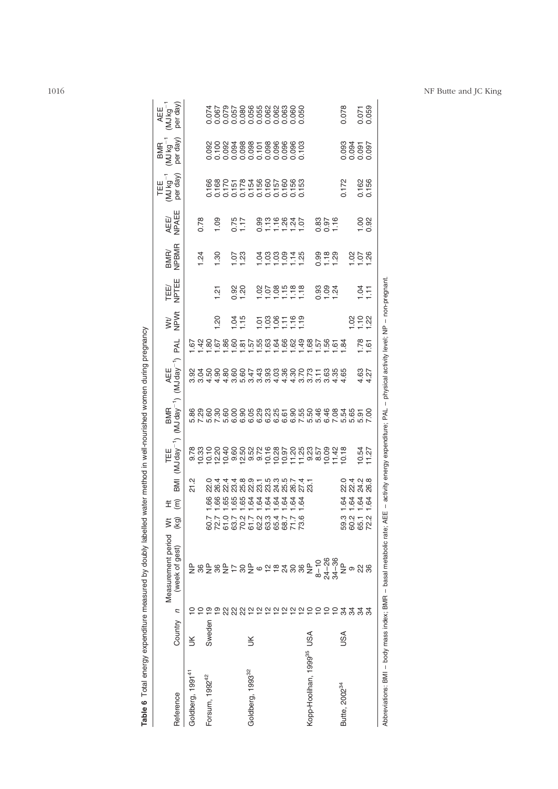| Reference                             | Country | $\overline{a}$                     | Measurement period<br>(week of gest)                                 | ΞÊ<br>$\breve{\le}$<br>(ka)                | IMB                                                                                       | TEE<br>(MJ day <sup>-1</sup> ) | $(MJ$ day <sup><math>-1</math></sup><br>BMR | AEE<br>(MJ day <sup>-1</sup> )                               | <b>PAL</b>       | WH<br>NPWt           | TEE/<br>NPTEE           | BMR/<br>NPBMR    | AEE/<br>NPAEE    | per day)<br>$\begin{array}{c} \mathsf{TEE}\\ (\mathsf{MJkg}^{-1} \end{array}$ | per day<br>WJkg <sup>--</sup><br><b>BMR</b> | per day<br>$MJkg^{-1}$<br>AEE |
|---------------------------------------|---------|------------------------------------|----------------------------------------------------------------------|--------------------------------------------|-------------------------------------------------------------------------------------------|--------------------------------|---------------------------------------------|--------------------------------------------------------------|------------------|----------------------|-------------------------|------------------|------------------|-------------------------------------------------------------------------------|---------------------------------------------|-------------------------------|
| Goldberg, 1991 <sup>41</sup>          | š       |                                    | $\frac{\mathsf{p}}{\mathsf{p}}$                                      |                                            | 21.2                                                                                      |                                |                                             | ៙៶៷៹៹៹៰៰៰៰៰៹៹៰៰៰៹៹៹៰៰៰៰៹៹<br>៙៓ឨ៰៓៰៓ៜៜៜ៹៓៓៓៓៓៰ៜៜៜៜៜ៵៓៓៓៓៓៓៓ៜ |                  |                      |                         |                  |                  |                                                                               |                                             |                               |
|                                       |         |                                    |                                                                      |                                            |                                                                                           |                                |                                             |                                                              |                  |                      |                         | 1.24             | 0.78             |                                                                               |                                             |                               |
| Forsum, 1992 <sup>42</sup>            | Sweden  | $\overline{0}$                     |                                                                      | 89.<br>60.7                                | 22.0                                                                                      |                                |                                             |                                                              |                  |                      |                         |                  |                  |                                                                               |                                             |                               |
|                                       |         | ഉ                                  |                                                                      |                                            |                                                                                           |                                |                                             |                                                              |                  | $\overline{50}$      | 1.21                    | $\frac{0}{1.30}$ | 0.09             |                                                                               |                                             |                               |
|                                       |         |                                    |                                                                      |                                            |                                                                                           |                                |                                             |                                                              |                  |                      |                         |                  |                  |                                                                               |                                             |                               |
|                                       |         | ನಿ ನಿ                              | 는 유 문                                                                | cecece a gagad<br>707373347753797579       | 4 4 4 6 6 7 - 6 6 6 6 7 4 7<br>6 6 6 6 6 6 6 7 6 7 6 7 6<br>7 6 7 7 8 7 8 7 8 7 8 7 8 7 8 |                                |                                             |                                                              |                  |                      |                         |                  |                  |                                                                               |                                             |                               |
|                                       |         |                                    |                                                                      |                                            |                                                                                           |                                |                                             |                                                              |                  | $\frac{1.15}{1.15}$  | 0.92                    | 523<br>--        | $7.75$<br>1.17   |                                                                               |                                             |                               |
| Goldberg, 1993 <sup>32</sup>          | š       |                                    |                                                                      |                                            |                                                                                           |                                |                                             |                                                              |                  |                      |                         |                  |                  |                                                                               |                                             |                               |
|                                       |         |                                    | $\circ$                                                              |                                            |                                                                                           |                                |                                             |                                                              |                  |                      |                         |                  |                  |                                                                               |                                             |                               |
|                                       |         |                                    | $\frac{1}{2}$ $\frac{1}{2}$                                          |                                            |                                                                                           |                                |                                             |                                                              |                  |                      |                         |                  |                  |                                                                               |                                             |                               |
|                                       |         | <b>23 안 안 안 안</b>                  |                                                                      |                                            |                                                                                           |                                |                                             |                                                              |                  | 588559               | 858998                  | 288878           | 0.778840         |                                                                               |                                             |                               |
|                                       |         |                                    | $\overline{24}$                                                      |                                            |                                                                                           |                                |                                             |                                                              |                  |                      |                         |                  |                  |                                                                               |                                             |                               |
|                                       |         |                                    | 80                                                                   | 71.7                                       |                                                                                           |                                |                                             |                                                              |                  |                      |                         |                  |                  |                                                                               |                                             |                               |
|                                       |         |                                    | 36                                                                   | 73.6                                       |                                                                                           |                                |                                             |                                                              |                  |                      |                         |                  |                  |                                                                               |                                             |                               |
| Kopp-Hoolihan, 1999 <sup>35</sup> USA |         | $\mathbf{a} \mathbf{a} \mathbf{b}$ | $\frac{\mathsf{p}}{\mathsf{p}}$                                      |                                            |                                                                                           |                                |                                             |                                                              |                  |                      |                         |                  |                  |                                                                               |                                             |                               |
|                                       |         | 2227                               |                                                                      |                                            |                                                                                           |                                |                                             |                                                              |                  |                      |                         |                  |                  |                                                                               |                                             |                               |
|                                       |         |                                    | $8 - 10$<br>24-26<br>24-36                                           |                                            |                                                                                           |                                |                                             |                                                              |                  |                      | 894<br>892              |                  | $3.87$<br>$-1.6$ |                                                                               |                                             |                               |
|                                       |         |                                    |                                                                      |                                            |                                                                                           |                                |                                             |                                                              |                  |                      |                         | 0.988            |                  |                                                                               |                                             |                               |
| Butte, 2002 <sup>34</sup>             | USA     |                                    | $\frac{\rho}{Z}$                                                     |                                            |                                                                                           |                                |                                             |                                                              |                  |                      |                         |                  |                  | 0.172                                                                         |                                             | 0.078                         |
|                                       |         | 34                                 | თ                                                                    | र्वे व्रै व्रै व्रै<br>59.2<br>60.2        | 0 4 0 10<br>0 11 4 10<br>0 11 11 10                                                       |                                |                                             |                                                              |                  |                      |                         |                  |                  |                                                                               | 1093<br>0094<br>0000<br>0000                |                               |
|                                       |         | 34                                 | 28                                                                   | 65.1                                       |                                                                                           | $0.54$<br>1.27                 |                                             | 4.27                                                         |                  | <u> 8 은 8</u><br>——— |                         | 258              | $\frac{88}{20}$  | 0.162                                                                         |                                             | 0.071                         |
|                                       |         | 34                                 |                                                                      | 72.2                                       |                                                                                           |                                |                                             |                                                              | $\frac{1,8}{61}$ |                      | $rac{1}{2}$ $rac{1}{2}$ |                  |                  |                                                                               |                                             |                               |
|                                       |         |                                    | Abbreviations: BMI - body mass index; BMR - basal metabolic rate; AE | $\begin{array}{c} \hline \end{array}$<br>щ |                                                                                           |                                | activity energy expenditure; PAL -          | physical activity level; NP - non-pregnant                   |                  |                      |                         |                  |                  |                                                                               |                                             |                               |

Table 6 Total energy expenditure measured by doubly labelled water method in well-nourished women during pregnancy Table 6 Total energy expenditure measured by doubly labelled water method in well-nourished women during pregnancy

<span id="page-6-0"></span>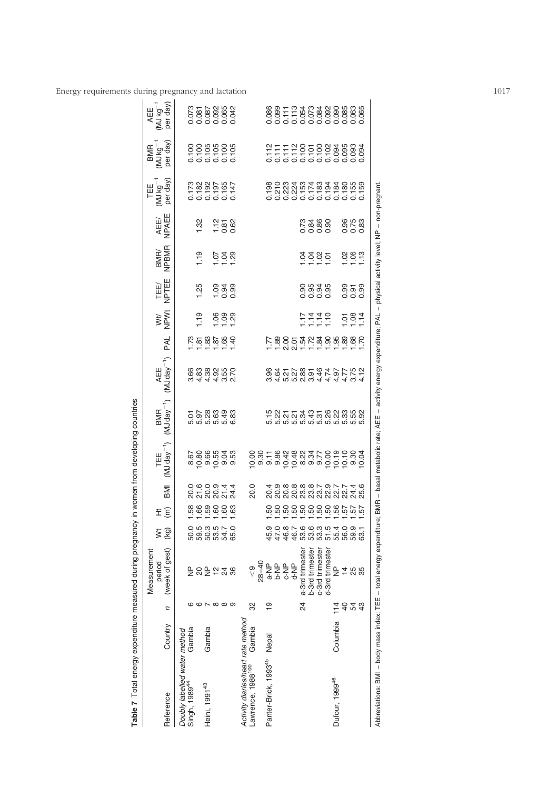<span id="page-7-0"></span>

| Table 7 Total energy expenditure measured during pregnancy            |          |                                 |                                         |                                    |                                          |                                                                        | in women from developing countries |                                                                |                                                                                                                  |            |               |                   |               |                    |                                                      |                                                                                                    |                                          |
|-----------------------------------------------------------------------|----------|---------------------------------|-----------------------------------------|------------------------------------|------------------------------------------|------------------------------------------------------------------------|------------------------------------|----------------------------------------------------------------|------------------------------------------------------------------------------------------------------------------|------------|---------------|-------------------|---------------|--------------------|------------------------------------------------------|----------------------------------------------------------------------------------------------------|------------------------------------------|
| Reference                                                             | Country  | Л                               | (week of gest)<br>Measurement<br>period | ž<br>(Ka)                          | ΞÊ                                       | IMB                                                                    | TEE<br>(MJ day <sup>-1</sup> )     | $(MJday^{-1})$<br><b>BMR</b>                                   | AEE<br>(MJ day <sup>-1</sup> )                                                                                   | <b>PAL</b> | WH<br>NPWt    | TEE/<br>NPTEE     | BMR/<br>NPBMR | AEE/<br>NPAEE      | per day)<br>TEE <sub>1</sub><br>(MJ kg <sup>-1</sup> | (MJ kg <sup>-1</sup><br>per day)<br>BMR                                                            | per day<br>$AEE$<br>(MJ kg <sup>-1</sup> |
| Doubly labelled water method<br>Singh, 1989 <sup>44</sup>             | Gambia   |                                 |                                         |                                    |                                          |                                                                        |                                    |                                                                |                                                                                                                  |            |               |                   |               |                    |                                                      |                                                                                                    |                                          |
|                                                                       |          |                                 | <b>} 2 } 2 3 %</b>                      |                                    | 8<br>8<br>8<br>8<br>8 8 8 8 8 8          | ០ ១ ០ ១ <del>។ ។</del><br>೧ <del>೧</del> ೦ ೦ ೧ ។<br>೧ ೦ ೦ ೧ <u>។</u> ។ | င်စီ အိန္ဒိညီ<br>၉<br>၉ ၉ ၉ ၉ ၉ ၉  | ក្នុង ខ្លួន ខ្លួ<br>ក្នុង ខ្លួន ខ្លួ                           | 6 8 8 9 9 9 0<br>6 8 9 9 9 9 0<br>6 9 9 9 9 0                                                                    | 7.58869    | $\frac{9}{1}$ | 1.25              | 1.19          | 1.32               | 1782<br>1820<br>0000000<br>000000                    |                                                                                                    |                                          |
| Heini, 1991 <sup>43</sup>                                             | Gambia   |                                 |                                         |                                    |                                          |                                                                        |                                    |                                                                |                                                                                                                  |            |               |                   |               |                    |                                                      |                                                                                                    |                                          |
|                                                                       |          | $\sim \infty$ $\infty$ $\infty$ |                                         |                                    |                                          |                                                                        |                                    |                                                                |                                                                                                                  |            |               | $\frac{838}{100}$ |               | $7.80$<br>$-0.62$  |                                                      |                                                                                                    |                                          |
|                                                                       |          |                                 |                                         |                                    |                                          |                                                                        |                                    |                                                                |                                                                                                                  |            | 888           |                   | <u>등학</u>     |                    |                                                      |                                                                                                    |                                          |
|                                                                       |          |                                 |                                         |                                    |                                          |                                                                        |                                    |                                                                |                                                                                                                  |            |               |                   |               |                    |                                                      |                                                                                                    |                                          |
| Activity diaries/heart rate method                                    |          |                                 |                                         |                                    |                                          |                                                                        |                                    |                                                                |                                                                                                                  |            |               |                   |               |                    |                                                      |                                                                                                    |                                          |
| Lawrence, 1988 <sup>100</sup>                                         | Gambia   | 32                              | $\frac{1}{\sqrt{2}}$                    |                                    |                                          | 20.0                                                                   |                                    |                                                                |                                                                                                                  |            |               |                   |               |                    |                                                      |                                                                                                    |                                          |
|                                                                       |          |                                 | $28 - 40$                               |                                    |                                          |                                                                        |                                    |                                                                |                                                                                                                  |            |               |                   |               |                    |                                                      |                                                                                                    |                                          |
| Panter-Brick, 1993 <sup>45</sup>                                      | Nepal    | ი<br>ს                          | a-NP                                    | 45.9                               |                                          |                                                                        |                                    |                                                                |                                                                                                                  |            |               |                   |               |                    |                                                      |                                                                                                    |                                          |
|                                                                       |          |                                 | b-NP                                    | 47.0                               |                                          |                                                                        |                                    |                                                                |                                                                                                                  |            |               |                   |               |                    |                                                      |                                                                                                    |                                          |
|                                                                       |          |                                 | e-NP                                    | 46.7<br>46.7                       |                                          |                                                                        |                                    |                                                                |                                                                                                                  |            |               |                   |               |                    |                                                      |                                                                                                    |                                          |
|                                                                       |          |                                 | d-NP                                    |                                    |                                          |                                                                        |                                    |                                                                |                                                                                                                  |            |               |                   |               |                    |                                                      |                                                                                                    |                                          |
|                                                                       |          | $\overline{6}$                  | a-3rd trimester                         | 6<br>0 6 0 0 1<br>6 0 0 1<br>6 0 1 | ន្ទ្រីន្ទ្រីន្ទ្ទ្រីន្ទ្រីន្ទ្រីដ្ឋក្នុង |                                                                        | cid ∞ o o d d d o d<br>おおみなどのもち    | 5 2 2 5 2 3 4 5 6 7 9 9 9 9 9<br>កុំ 2 5 7 9 9 9 9 9 9 9 9 9 9 |                                                                                                                  |            |               |                   |               |                    |                                                      | $\begin{array}{l} 27.777888837 \\ 17.77788508300 \\ 17.77778500000 \\ 0.0000000000 \\ \end{array}$ |                                          |
|                                                                       |          |                                 | b-3rd trimester                         |                                    |                                          |                                                                        |                                    |                                                                |                                                                                                                  |            |               |                   |               |                    |                                                      |                                                                                                    |                                          |
|                                                                       |          |                                 | c-3rd trimester                         |                                    |                                          |                                                                        |                                    |                                                                |                                                                                                                  |            | 7777<br>7777  |                   |               |                    |                                                      |                                                                                                    |                                          |
|                                                                       |          |                                 | d-3rd trimester                         |                                    |                                          |                                                                        |                                    |                                                                |                                                                                                                  |            |               | 8838<br>8838      | 3385          |                    |                                                      |                                                                                                    |                                          |
| Dufour, 1999 <sup>46</sup>                                            | Columbia | 114                             | $\frac{\mathsf{p}}{\mathsf{p}}$         |                                    |                                          |                                                                        |                                    |                                                                |                                                                                                                  |            |               |                   |               |                    |                                                      |                                                                                                    |                                          |
|                                                                       |          | $\overline{a}$                  | 14.5                                    | 56.0                               |                                          |                                                                        |                                    |                                                                |                                                                                                                  |            |               | 858<br>000        |               |                    |                                                      |                                                                                                    |                                          |
|                                                                       |          | 54                              |                                         | 59.9                               |                                          |                                                                        |                                    |                                                                |                                                                                                                  |            | 581           |                   | 88.2          | 86<br>0.53<br>0.00 |                                                      |                                                                                                    |                                          |
|                                                                       |          | ₽,                              | 35                                      | 63.1                               |                                          |                                                                        |                                    |                                                                |                                                                                                                  |            |               |                   |               |                    |                                                      |                                                                                                    |                                          |
| Abbreviations: BMI - body mass index; TEE - total energy expenditure; |          |                                 |                                         |                                    |                                          |                                                                        |                                    |                                                                | BMR – basal metabolic rate; AEE – activity energy expenditure; PAL – physical activity level; NP – non-pregnant. |            |               |                   |               |                    |                                                      |                                                                                                    |                                          |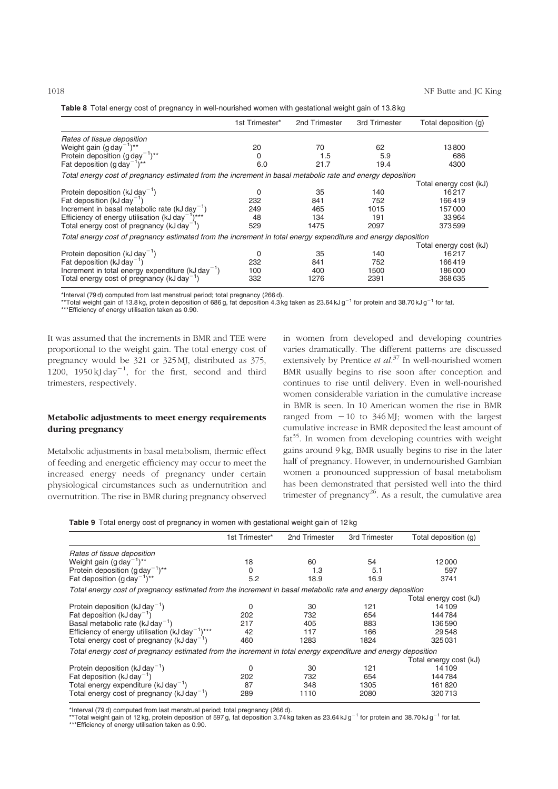<span id="page-8-0"></span>

| Table 8 Total energy cost of pregnancy in well-nourished women with gestational weight gain of 13.8 kg |  |  |  |  |
|--------------------------------------------------------------------------------------------------------|--|--|--|--|

|                                                                                                               | 1st Trimester* | 2nd Trimester | 3rd Trimester | Total deposition (g)   |
|---------------------------------------------------------------------------------------------------------------|----------------|---------------|---------------|------------------------|
| Rates of tissue deposition                                                                                    |                |               |               |                        |
| Weight gain $(g \, day^{-1})^{**}$                                                                            | 20             | 70            | 62            | 13800                  |
| Protein deposition $(q \, \text{day}^{-1})^{**}$                                                              | 0              | 1.5           | 5.9           | 686                    |
| Fat deposition $(g \text{ day}^{-1})^{**}$                                                                    | 6.0            | 21.7          | 19.4          | 4300                   |
| Total energy cost of pregnancy estimated from the increment in basal metabolic rate and energy deposition     |                |               |               |                        |
|                                                                                                               |                |               |               | Total energy cost (kJ) |
| Protein deposition ( $kJ \, \text{day}^{-1}$ )                                                                | 0              | 35            | 140           | 16217                  |
| Fat deposition ( $kJ \, day^{-1}$ )                                                                           | 232            | 841           | 752           | 166419                 |
| Increment in basal metabolic rate $(kJ \, \text{day}^{-1})$                                                   | 249            | 465           | 1015          | 157000                 |
| Efficiency of energy utilisation ( $kJ$ day <sup>-1</sup> )***                                                | 48             | 134           | 191           | 33964                  |
| Total energy cost of pregnancy (kJ day <sup>-1</sup> )                                                        | 529            | 1475          | 2097          | 373599                 |
| Total energy cost of pregnancy estimated from the increment in total energy expenditure and energy deposition |                |               |               |                        |
|                                                                                                               |                |               |               | Total energy cost (kJ) |
| Protein deposition ( $kJ \, \text{day}^{-1}$ )                                                                | $\Omega$       | 35            | 140           | 16217                  |
| Fat deposition ( $kJ \, day^{-1}$ )                                                                           | 232            | 841           | 752           | 166419                 |
| Increment in total energy expenditure $(kJ \, \text{day}^{-1})$                                               | 100            | 400           | 1500          | 186000                 |
| Total energy cost of pregnancy ( $kJ$ day <sup>-1</sup> )                                                     | 332            | 1276          | 2391          | 368635                 |

\*Interval (79 d) computed from last menstrual period; total pregnancy (266 d).

\*\*\*Total weight gain of 13.8 kg, protein deposition of 686 g, fat deposition 4.3 kg taken as 23.64 kJ g<sup>-1</sup> for protein and 38.70 kJ g<sup>-1</sup> for fat.

\*\*\*Efficiency of energy utilisation taken as 0.90.

It was assumed that the increments in BMR and TEE were proportional to the weight gain. The total energy cost of pregnancy would be 321 or 325 MJ, distributed as 375, 1200, 1950 kJ day<sup>-1</sup>, for the first, second and third trimesters, respectively.

# Metabolic adjustments to meet energy requirements during pregnancy

Metabolic adjustments in basal metabolism, thermic effect of feeding and energetic efficiency may occur to meet the increased energy needs of pregnancy under certain physiological circumstances such as undernutrition and overnutrition. The rise in BMR during pregnancy observed

in women from developed and developing countries varies dramatically. The different patterns are discussed extensively by Prentice et  $al^{37}$  In well-nourished women BMR usually begins to rise soon after conception and continues to rise until delivery. Even in well-nourished women considerable variation in the cumulative increase in BMR is seen. In 10 American women the rise in BMR ranged from  $-10$  to 346 MJ; women with the largest cumulative increase in BMR deposited the least amount of  $fat^{35}$ . In women from developing countries with weight gains around 9 kg, BMR usually begins to rise in the later half of pregnancy. However, in undernourished Gambian women a pronounced suppression of basal metabolism has been demonstrated that persisted well into the third trimester of pregnancy<sup>26</sup>. As a result, the cumulative area

|  |  |  |  |  |  | <b>Table 9</b> Total energy cost of pregnancy in women with gestational weight gain of 12 kg |  |
|--|--|--|--|--|--|----------------------------------------------------------------------------------------------|--|
|--|--|--|--|--|--|----------------------------------------------------------------------------------------------|--|

|                                                                                                               | 1st Trimester* | 2nd Trimester | 3rd Trimester | Total deposition (g)   |  |  |  |  |  |  |  |
|---------------------------------------------------------------------------------------------------------------|----------------|---------------|---------------|------------------------|--|--|--|--|--|--|--|
| Rates of tissue deposition                                                                                    |                |               |               |                        |  |  |  |  |  |  |  |
| Weight gain $(g \, day^{-1})^{**}$                                                                            | 18             | 60            | 54            | 12000                  |  |  |  |  |  |  |  |
| Protein deposition $(q \, \text{day}^{-1})^{**}$                                                              | 0              | 1.3           | 5.1           | 597                    |  |  |  |  |  |  |  |
| Fat deposition $(q \text{ day}^{-1})^{**}$                                                                    | 5.2            | 18.9          | 16.9          | 3741                   |  |  |  |  |  |  |  |
| Total energy cost of pregnancy estimated from the increment in basal metabolic rate and energy deposition     |                |               |               |                        |  |  |  |  |  |  |  |
|                                                                                                               |                |               |               | Total energy cost (kJ) |  |  |  |  |  |  |  |
| Protein deposition ( $kJ \, \text{day}^{-1}$ )                                                                | 0              | 30            | 121           | 14109                  |  |  |  |  |  |  |  |
| Fat deposition ( $kJ \, \text{day}^{-1}$ )                                                                    | 202            | 732           | 654           | 144784                 |  |  |  |  |  |  |  |
| Basal metabolic rate $(kJday^{-1})$                                                                           | 217            | 405           | 883           | 136590                 |  |  |  |  |  |  |  |
| Efficiency of energy utilisation ( $kJ$ day <sup>-1</sup> )***                                                | 42             | 117           | 166           | 29548                  |  |  |  |  |  |  |  |
| Total energy cost of pregnancy ( $kJ \, day^{-1}$ )                                                           | 460            | 1283          | 1824          | 325031                 |  |  |  |  |  |  |  |
| Total energy cost of pregnancy estimated from the increment in total energy expenditure and energy deposition |                |               |               |                        |  |  |  |  |  |  |  |
|                                                                                                               |                |               |               | Total energy cost (kJ) |  |  |  |  |  |  |  |
| Protein deposition ( $kJ \, \text{day}^{-1}$ )                                                                | 0              | 30            | 121           | 14109                  |  |  |  |  |  |  |  |
| Fat deposition ( $kJ \, \text{day}^{-1}$ )                                                                    | 202            | 732           | 654           | 144784                 |  |  |  |  |  |  |  |
| Total energy expenditure $(kJ \, \text{day}^{-1})$                                                            | 87             | 348           | 1305          | 161820                 |  |  |  |  |  |  |  |
| Total energy cost of pregnancy ( $kJ$ day <sup>-1</sup> )                                                     | 289            | 1110          | 2080          | 320713                 |  |  |  |  |  |  |  |

\*Interval (79 d) computed from last menstrual period; total pregnancy (266 d).<br>\*\*Total weight gain of 12 kg, protein deposition of 597 g, fat deposition 3.74 kg taken as 23.64 kJ g<sup>–1</sup> for protein and 38.70 kJ g<sup>–1</sup> for fa \*\*\*Efficiency of energy utilisation taken as 0.90.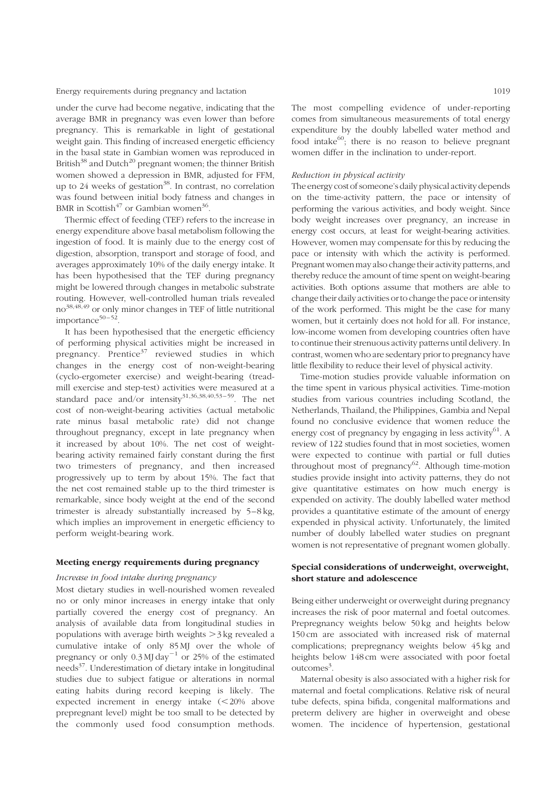under the curve had become negative, indicating that the average BMR in pregnancy was even lower than before pregnancy. This is remarkable in light of gestational weight gain. This finding of increased energetic efficiency in the basal state in Gambian women was reproduced in British $38$  and Dutch<sup>20</sup> pregnant women; the thinner British women showed a depression in BMR, adjusted for FFM, up to  $24$  weeks of gestation<sup>38</sup>. In contrast, no correlation was found between initial body fatness and changes in BMR in Scottish<sup>47</sup> or Gambian women<sup>36</sup>.

Thermic effect of feeding (TEF) refers to the increase in energy expenditure above basal metabolism following the ingestion of food. It is mainly due to the energy cost of digestion, absorption, transport and storage of food, and averages approximately 10% of the daily energy intake. It has been hypothesised that the TEF during pregnancy might be lowered through changes in metabolic substrate routing. However, well-controlled human trials revealed no38,48,49 or only minor changes in TEF of little nutritional importance $50 - 52$ .

It has been hypothesised that the energetic efficiency of performing physical activities might be increased in pregnancy. Prentice $3^7$  reviewed studies in which changes in the energy cost of non-weight-bearing (cyclo-ergometer exercise) and weight-bearing (treadmill exercise and step-test) activities were measured at a standard pace and/or intensity $31,36,38,40,53-59$ . The net cost of non-weight-bearing activities (actual metabolic rate minus basal metabolic rate) did not change throughout pregnancy, except in late pregnancy when it increased by about 10%. The net cost of weightbearing activity remained fairly constant during the first two trimesters of pregnancy, and then increased progressively up to term by about 15%. The fact that the net cost remained stable up to the third trimester is remarkable, since body weight at the end of the second trimester is already substantially increased by 5–8 kg, which implies an improvement in energetic efficiency to perform weight-bearing work.

#### Meeting energy requirements during pregnancy

#### Increase in food intake during pregnancy

Most dietary studies in well-nourished women revealed no or only minor increases in energy intake that only partially covered the energy cost of pregnancy. An analysis of available data from longitudinal studies in populations with average birth weights  $>$ 3 kg revealed a cumulative intake of only 85 MJ over the whole of pregnancy or only  $0.3$  MJ day<sup>-1</sup> or 25% of the estimated needs $37$ . Underestimation of dietary intake in longitudinal studies due to subject fatigue or alterations in normal eating habits during record keeping is likely. The expected increment in energy intake  $(<20\%$  above prepregnant level) might be too small to be detected by the commonly used food consumption methods.

The most compelling evidence of under-reporting comes from simultaneous measurements of total energy expenditure by the doubly labelled water method and food intake $^{60}$ ; there is no reason to believe pregnant women differ in the inclination to under-report.

#### Reduction in physical activity

The energy cost of someone's daily physical activity depends on the time-activity pattern, the pace or intensity of performing the various activities, and body weight. Since body weight increases over pregnancy, an increase in energy cost occurs, at least for weight-bearing activities. However, women may compensate for this by reducing the pace or intensity with which the activity is performed. Pregnant womenmay also change their activity patterns, and thereby reduce the amount of time spent on weight-bearing activities. Both options assume that mothers are able to change their daily activities or to change the pace or intensity of the work performed. This might be the case for many women, but it certainly does not hold for all. For instance, low-income women from developing countries often have to continue their strenuous activity patterns until delivery. In contrast, women who are sedentary prior to pregnancy have little flexibility to reduce their level of physical activity.

Time-motion studies provide valuable information on the time spent in various physical activities. Time-motion studies from various countries including Scotland, the Netherlands, Thailand, the Philippines, Gambia and Nepal found no conclusive evidence that women reduce the energy cost of pregnancy by engaging in less activity $^{61}$ . A review of 122 studies found that in most societies, women were expected to continue with partial or full duties throughout most of pregnancy $62$ . Although time-motion studies provide insight into activity patterns, they do not give quantitative estimates on how much energy is expended on activity. The doubly labelled water method provides a quantitative estimate of the amount of energy expended in physical activity. Unfortunately, the limited number of doubly labelled water studies on pregnant women is not representative of pregnant women globally.

# Special considerations of underweight, overweight, short stature and adolescence

Being either underweight or overweight during pregnancy increases the risk of poor maternal and foetal outcomes. Prepregnancy weights below 50 kg and heights below 150 cm are associated with increased risk of maternal complications; prepregnancy weights below 45 kg and heights below 148 cm were associated with poor foetal outcomes<sup>3</sup>.

Maternal obesity is also associated with a higher risk for maternal and foetal complications. Relative risk of neural tube defects, spina bifida, congenital malformations and preterm delivery are higher in overweight and obese women. The incidence of hypertension, gestational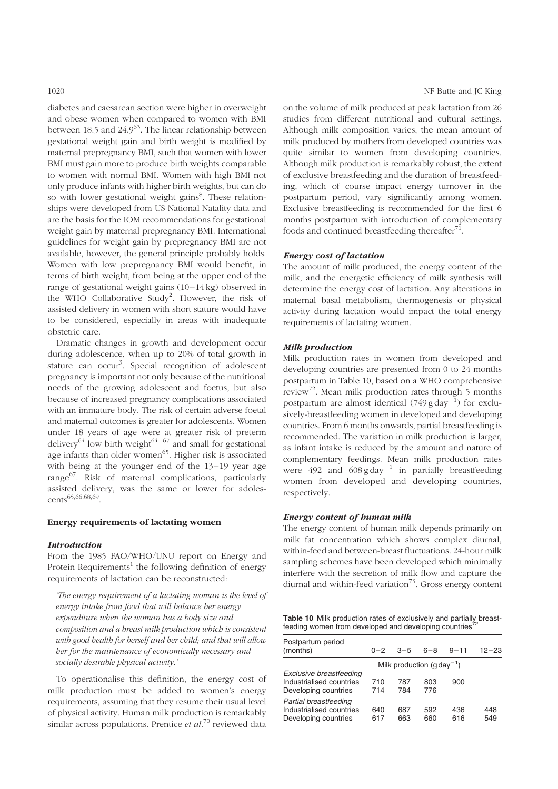diabetes and caesarean section were higher in overweight and obese women when compared to women with BMI between 18.5 and  $24.9^{63}$ . The linear relationship between gestational weight gain and birth weight is modified by maternal prepregnancy BMI, such that women with lower BMI must gain more to produce birth weights comparable to women with normal BMI. Women with high BMI not only produce infants with higher birth weights, but can do so with lower gestational weight gains<sup>8</sup>. These relationships were developed from US National Natality data and are the basis for the IOM recommendations for gestational weight gain by maternal prepregnancy BMI. International guidelines for weight gain by prepregnancy BMI are not available, however, the general principle probably holds. Women with low prepregnancy BMI would benefit, in terms of birth weight, from being at the upper end of the range of gestational weight gains (10–14 kg) observed in the WHO Collaborative Study<sup>2</sup>. However, the risk of assisted delivery in women with short stature would have to be considered, especially in areas with inadequate obstetric care.

Dramatic changes in growth and development occur during adolescence, when up to 20% of total growth in stature can occur<sup>3</sup>. Special recognition of adolescent pregnancy is important not only because of the nutritional needs of the growing adolescent and foetus, but also because of increased pregnancy complications associated with an immature body. The risk of certain adverse foetal and maternal outcomes is greater for adolescents. Women under 18 years of age were at greater risk of preterm delivery<sup>64</sup> low birth weight<sup>64-67</sup> and small for gestational age infants than older women<sup>65</sup>. Higher risk is associated with being at the younger end of the 13–19 year age range<sup>67</sup>. Risk of maternal complications, particularly assisted delivery, was the same or lower for adolescents<sup>65,66,68,69</sup>

#### Energy requirements of lactating women

#### **Introduction**

From the 1985 FAO/WHO/UNU report on Energy and Protein Requirements<sup>1</sup> the following definition of energy requirements of lactation can be reconstructed:

'The energy requirement of a lactating woman is the level of energy intake from food that will balance her energy expenditure when the woman has a body size and composition and a breast milk production which is consistent with good health for herself and her child; and that will allow her for the maintenance of economically necessary and socially desirable physical activity.'

To operationalise this definition, the energy cost of milk production must be added to women's energy requirements, assuming that they resume their usual level of physical activity. Human milk production is remarkably similar across populations. Prentice *et al*.<sup>70</sup> reviewed data on the volume of milk produced at peak lactation from 26 studies from different nutritional and cultural settings. Although milk composition varies, the mean amount of milk produced by mothers from developed countries was quite similar to women from developing countries. Although milk production is remarkably robust, the extent of exclusive breastfeeding and the duration of breastfeeding, which of course impact energy turnover in the postpartum period, vary significantly among women. Exclusive breastfeeding is recommended for the first 6 months postpartum with introduction of complementary foods and continued breastfeeding thereafter $^{71}$ .

#### Energy cost of lactation

The amount of milk produced, the energy content of the milk, and the energetic efficiency of milk synthesis will determine the energy cost of lactation. Any alterations in maternal basal metabolism, thermogenesis or physical activity during lactation would impact the total energy requirements of lactating women.

# Milk production

Milk production rates in women from developed and developing countries are presented from 0 to 24 months postpartum in Table 10, based on a WHO comprehensive review<sup>72</sup>. Mean milk production rates through 5 months postpartum are almost identical  $(749 \text{ g day}^{-1})$  for exclusively-breastfeeding women in developed and developing countries. From 6 months onwards, partial breastfeeding is recommended. The variation in milk production is larger, as infant intake is reduced by the amount and nature of complementary feedings. Mean milk production rates were 492 and  $608 \text{ g day}^{-1}$  in partially breastfeeding women from developed and developing countries, respectively.

### Energy content of human milk

The energy content of human milk depends primarily on milk fat concentration which shows complex diurnal, within-feed and between-breast fluctuations. 24-hour milk sampling schemes have been developed which minimally interfere with the secretion of milk flow and capture the diurnal and within-feed variation<sup>73</sup>. Gross energy content

Table 10 Milk production rates of exclusively and partially breastfeeding women from developed and developing countries<sup>7</sup>

| Postpartum period<br>(months)                                               | $0 - 2$    | $3 - 5$                                    | $6 - 8$    | $9 - 11$   | $12 - 23$  |
|-----------------------------------------------------------------------------|------------|--------------------------------------------|------------|------------|------------|
|                                                                             |            | Milk production ( $q \, \text{day}^{-1}$ ) |            |            |            |
| Exclusive breastfeeding<br>Industrialised countries<br>Developing countries | 710<br>714 | 787<br>784                                 | 803<br>776 | 900        |            |
| Partial breastfeeding<br>Industrialised countries<br>Developing countries   | 640<br>617 | 687<br>663                                 | 592<br>660 | 436<br>616 | 448<br>549 |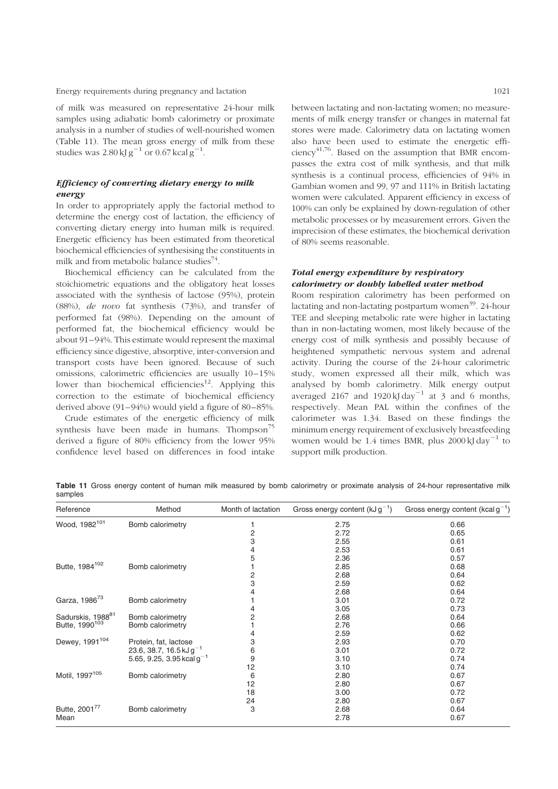of milk was measured on representative 24-hour milk samples using adiabatic bomb calorimetry or proximate analysis in a number of studies of well-nourished women (Table 11). The mean gross energy of milk from these studies was  $2.80 \text{ kJ g}^{-1}$  or  $0.67 \text{ kcal g}^{-1}$ .

# Efficiency of converting dietary energy to milk energy

In order to appropriately apply the factorial method to determine the energy cost of lactation, the efficiency of converting dietary energy into human milk is required. Energetic efficiency has been estimated from theoretical biochemical efficiencies of synthesising the constituents in milk and from metabolic balance studies<sup>74</sup>.

Biochemical efficiency can be calculated from the stoichiometric equations and the obligatory heat losses associated with the synthesis of lactose (95%), protein (88%), de novo fat synthesis (73%), and transfer of performed fat (98%). Depending on the amount of performed fat, the biochemical efficiency would be about 91–94%. This estimate would represent the maximal efficiency since digestive, absorptive, inter-conversion and transport costs have been ignored. Because of such omissions, calorimetric efficiencies are usually 10-15% lower than biochemical efficiencies<sup>12</sup>. Applying this correction to the estimate of biochemical efficiency derived above (91–94%) would yield a figure of 80–85%.

Crude estimates of the energetic efficiency of milk synthesis have been made in humans. Thompson<sup>75</sup> derived a figure of 80% efficiency from the lower 95% confidence level based on differences in food intake between lactating and non-lactating women; no measurements of milk energy transfer or changes in maternal fat stores were made. Calorimetry data on lactating women also have been used to estimate the energetic efficiency<sup>41,76</sup>. Based on the assumption that BMR encompasses the extra cost of milk synthesis, and that milk synthesis is a continual process, efficiencies of 94% in Gambian women and 99, 97 and 111% in British lactating women were calculated. Apparent efficiency in excess of 100% can only be explained by down-regulation of other metabolic processes or by measurement errors. Given the imprecision of these estimates, the biochemical derivation of 80% seems reasonable.

# Total energy expenditure by respiratory calorimetry or doubly labelled water method

Room respiration calorimetry has been performed on lactating and non-lactating postpartum women<sup>39</sup>. 24-hour TEE and sleeping metabolic rate were higher in lactating than in non-lactating women, most likely because of the energy cost of milk synthesis and possibly because of heightened sympathetic nervous system and adrenal activity. During the course of the 24-hour calorimetric study, women expressed all their milk, which was analysed by bomb calorimetry. Milk energy output averaged 2167 and 1920 kJ day<sup>-1</sup> at 3 and 6 months, respectively. Mean PAL within the confines of the calorimeter was 1.34. Based on these findings the minimum energy requirement of exclusively breastfeeding women would be 1.4 times BMR, plus  $2000 \text{ kJ} \text{ day}^{-1}$  to support milk production.

Table 11 Gross energy content of human milk measured by bomb calorimetry or proximate analysis of 24-hour representative milk samples

| Reference                     | Method                         | Month of lactation | Gross energy content $(kJg^{-1})$ | Gross energy content (kcal $g^{-1}$ ) |
|-------------------------------|--------------------------------|--------------------|-----------------------------------|---------------------------------------|
| Wood, 1982 <sup>101</sup>     | Bomb calorimetry               |                    | 2.75                              | 0.66                                  |
|                               |                                | $\overline{c}$     | 2.72                              | 0.65                                  |
|                               |                                | 3                  | 2.55                              | 0.61                                  |
|                               |                                | 4                  | 2.53                              | 0.61                                  |
|                               |                                | 5                  | 2.36                              | 0.57                                  |
| Butte, 1984 <sup>102</sup>    | Bomb calorimetry               |                    | 2.85                              | 0.68                                  |
|                               |                                | 2                  | 2.68                              | 0.64                                  |
|                               |                                | 3                  | 2.59                              | 0.62                                  |
|                               |                                | 4                  | 2.68                              | 0.64                                  |
| Garza, 1986 <sup>73</sup>     | Bomb calorimetry               |                    | 3.01                              | 0.72                                  |
|                               |                                | 4                  | 3.05                              | 0.73                                  |
| Sadurskis, 1988 <sup>81</sup> | Bomb calorimetry               | $\overline{c}$     | 2.68                              | 0.64                                  |
| Butte, 1990 <sup>103</sup>    | Bomb calorimetry               |                    | 2.76                              | 0.66                                  |
|                               |                                | 4                  | 2.59                              | 0.62                                  |
| Dewey, 1991 <sup>104</sup>    | Protein, fat, lactose          | 3                  | 2.93                              | 0.70                                  |
|                               | 23.6, 38.7, 16.5 kJ $g^{-1}$   | 6                  | 3.01                              | 0.72                                  |
|                               | 5.65, 9.25, 3.95 kcal $g^{-1}$ | 9                  | 3.10                              | 0.74                                  |
|                               |                                | 12                 | 3.10                              | 0.74                                  |
| Motil, 1997 <sup>105</sup>    | Bomb calorimetry               | 6                  | 2.80                              | 0.67                                  |
|                               |                                | 12                 | 2.80                              | 0.67                                  |
|                               |                                | 18                 | 3.00                              | 0.72                                  |
|                               |                                | 24                 | 2.80                              | 0.67                                  |
| Butte, 2001 <sup>77</sup>     | Bomb calorimetry               | 3                  | 2.68                              | 0.64                                  |
| Mean                          |                                |                    | 2.78                              | 0.67                                  |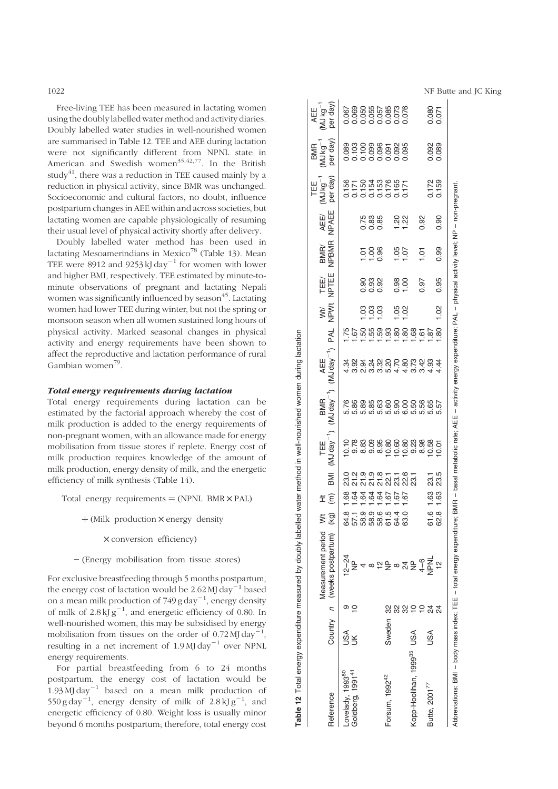Free-living TEE has been measured in lactating women using the doubly labelled water method and activity diaries. Doubly labelled water studies in well-nourished women are summarised in Table 12. TEE and AEE during lactation were not significantly different from NPNL state in American and Swedish women<sup>35,42,77</sup>. In the British study<sup>41</sup>, there was a reduction in TEE caused mainly by a reduction in physical activity, since BMR was unchanged. Socioeconomic and cultural factors, no doubt, influence postpartum changes in AEE within and across societies, but lactating women are capable physiologically of resuming their usual level of physical activity shortly after delivery.

Doubly labelled water method has been used in lactating Mesoamerindians in Mexico<sup>78</sup> [\(Table](#page-13-0) 13). Mean TEE were 8912 and 9253 kJ day<sup>-1</sup> for women with lower and higher BMI, respectively. TEE estimated by minute-tominute observations of pregnant and lactating Nepali women was significantly influenced by season<sup>45</sup>. Lactating women had lower TEE during winter, but not the spring or monsoon season when all women sustained long hours of physical activity. Marked seasonal changes in physical activity and energy requirements have been shown to affect the reproductive and lactation performance of rural Gambian women<sup>79</sup>.

#### Total energy requirements during lactation

Total energy requirements during lactation can be estimated by the factorial approach whereby the cost of milk production is added to the energy requirements of non-pregnant women, with an allowance made for energy mobilisation from tissue stores if replete. Energy cost of milk production requires knowledge of the amount of milk production, energy density of milk, and the energetic efficiency of milk synthesis ([Table](#page-13-0) 14).

Total energy requirements  $= (NPNL)$  BMR  $\times$  PAL)

 $+$  (Milk production  $\times$  energy density

 $\times$  conversion efficiency)

 $-$  (Energy mobilisation from tissue stores)

For exclusive breastfeeding through 5 months postpartum, the energy cost of lactation would be  $2.62$  MJ day<sup>-1</sup> based on a mean milk production of 749 g day<sup>-1</sup>, energy density of milk of  $2.8 \text{ kJ g}^{-1}$ , and energetic efficiency of 0.80. In well-nourished women, this may be subsidised by energy mobilisation from tissues on the order of  $0.72 \text{ MJ day}^{-1}$ , resulting in a net increment of  $1.9 \text{ MJ day}^{-1}$  over NPNL energy requirements.

For partial breastfeeding from 6 to 24 months postpartum, the energy cost of lactation would be 1.93 MJ day<sup>-1</sup> based on a mean milk production of 550 g day<sup>-1</sup>, energy density of milk of  $2.8 \text{ kJ g}^{-1}$ , and energetic efficiency of 0.80. Weight loss is usually minor beyond 6 months postpartum; therefore, total energy cost AEE<br>(MJ kg<sup>-1</sup><br>per day) 0.080 Lovelady, 199380, 199382, 1994, 1994, 1994, 1994, 1994, 1994, 1994, 1994, 1994, 1994, 1994, 1994, 1994, 1995, 1 Goldberg, 1991, 1991, 1991, 1992, 1992, 1992, 1992, 1992, 1992, 1992, 1992, 1992, 1992, 1992, 1992, 1992, 1994, 1994, 1994, 1994, 1994, 1994, 1994, 1992, 1992, 1992, 1992, 1992, 1992, 1992, 1992, 1992, 1992, 1992, 1992, 19 4 58.9 1.64 21.9 8.83 5.89 2.94 1.50 1.03 0.90 1.01 0.75 0.150 0.100 0.050 8 58.9 1.64 21.9 9.09 5.85 3.24 1.55 1.03 0.93 1.00 0.83 0.154 0.099 0.055 12 58.6 1.64 21.8 8.95 5.63 3.32 1.59 1.03 0.92 0.96 0.85 0.153 0.096 0.057 Forsum, 1992<sup>42</sup> Sweden 32 NP 61.5 1.67 22.1 10.80 5.60 5.20 1.93 1.93 0.176 0.091 0.091 0.091 32 8 64.4 1.67 23.1 10.60 5.90 4.70 1.80 1.05 0.98 1.05 1.20 0.165 0.092 0.073 32 24 63.0 1.67 22.6 10.80 6.00 4.80 1.80 1.02 1.00 1.07 1.22 0.171 0.095 0.076 Butte, 200177 USA 24 NPNL 61.6 1.63 23.1 10.58 5.65 4.93 1.87 0.172 0.092 0.080 24 12 62.8 1.63 23.5 10.01 5.57 4.44 1.80 1.02 0.95 0.99 0.90 0.159 0.089 0.071 BMR<br>(MJ kg<sup>-1</sup><br>per day) 0.089<br>0.103  $0.100$ 0.098 0.092 0.095<br>0.095  $0.091$ TEE<br>(MJ kg<sup>-1</sup><br>per day)  $\begin{array}{c} 0.150 \\ 0.170 \\ 0.011 \\ 0.013 \\ \end{array}$ 0.172<br>0.159 0.176 0.165 Abbreviations: BMI – body mass index; TEE – total energy expenditure; BMR – basal metabolic rate; AEE – activity energy expenditure; PAL – physical activity level; NP – non-pregnant. - activity energy expenditure; PAL - physical activity level; NP - non-pregnant NPAEE AEE/ 0.88<br>0.88<br>0.0  $7.22$ 0.92 10 4–6 8.98 5.56 3.42 1.61 0.97 1.01 0.92  $0.90$ NPBMR BMR/  $\frac{58}{100}$  $1.05$ <br> $1.07$ 0.99  $1.01$ TEE/ NPTEE 8888<br>000 0.97 0.95 0.98  $00$ e<br>New<br>Z  $0.05$  $1.02$ ggg PAL **2223333365558** Kopp-Hoolihan, 1999<sup>95</sup> USA 10 NP 10 10 10 1.50 5.50 5.73 1.68  $(MJday^{-1})$  PAL AEE  $\frac{4}{3}$   $\frac{4}{3}$   $\frac{4}{3}$   $\frac{4}{4}$ BMR<br>(MJ day<sup>-1</sup>) 6 8 8 8 6 6 6 6 6 6 7 6 7<br>ក្នុង 8 8 6 6 6 7 6 7 8 9 7<br>ក្នុង 9 7 9 7 9 7 9 7 9 7 AEE-- total energy expenditure; BMR - basal metabolic rate; )  $(MJ$  day<sup> $-1$ </sup> TEE **BMI** 21.9  $21.8$ 7767<br>2020 23.5<br>23.5  $1.63$ <br> $1.63$ Ht 61.8<br>62.8 हैं है Measurement period<br>(weeks postpartum) Measurement period (weeks postpartum) BMI - body mass index; TEE  $\circ$   $\circ$  $\overline{z}$ 888900 24 Reference Country n Sweden Country USA<br>UK **USA** USA <opp-Hoolihan, 1999<sup>35</sup>

Table 12 Total energy expenditure measured by doubly labelled water method in well-nourished women during lactation

Lovelady, 1993<sup>80</sup><br>Goldberg, 1991<sup>41</sup>

Reference

Table 12

Forsum, 1992<sup>42</sup>

Butte, 2001<sup>77</sup>

Abbreviations:

Total energy expenditure measured by doubly labelled water method in well-nourished women during lactation

1022 **NF Butte and JC King**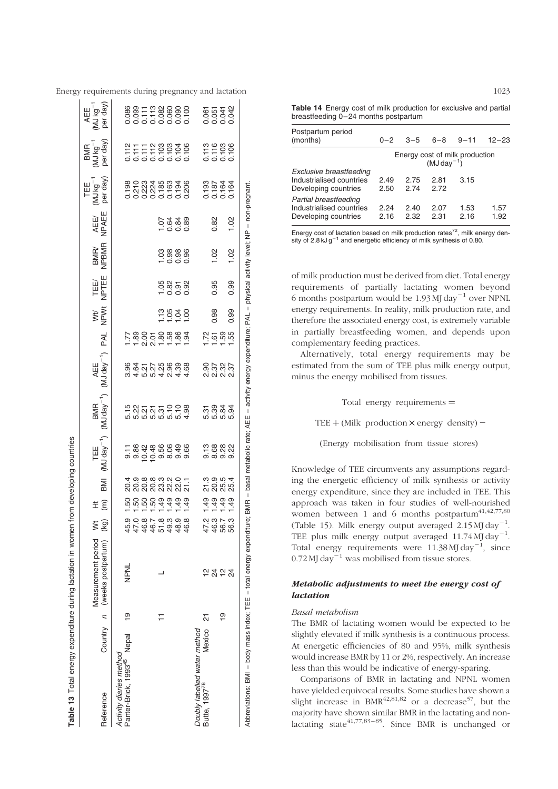| Table 13 Total energy expenditure during lactation in women          |               |                                                    |                                                                                                                                                                                                                                                                                                                                                                                                                                                                                                  |                      |                                                             | from developing countries                                        |                                                                                                                 |                                                             |                                    |                     |               |               |                    |                                                                                           |                                                                                                                                                                                                                                                                                                                                                   |                                         |
|----------------------------------------------------------------------|---------------|----------------------------------------------------|--------------------------------------------------------------------------------------------------------------------------------------------------------------------------------------------------------------------------------------------------------------------------------------------------------------------------------------------------------------------------------------------------------------------------------------------------------------------------------------------------|----------------------|-------------------------------------------------------------|------------------------------------------------------------------|-----------------------------------------------------------------------------------------------------------------|-------------------------------------------------------------|------------------------------------|---------------------|---------------|---------------|--------------------|-------------------------------------------------------------------------------------------|---------------------------------------------------------------------------------------------------------------------------------------------------------------------------------------------------------------------------------------------------------------------------------------------------------------------------------------------------|-----------------------------------------|
| Reference                                                            |               | Measurement period<br>Country n (weeks postpartum) | $\begin{array}{c}\n\text{MA} \\ \text{MA} \\ \text{MA} \\ \text{MA} \\ \text{MA} \\ \text{MA} \\ \text{MA} \\ \text{MA} \\ \text{MA} \\ \text{MA} \\ \text{MA} \\ \text{MA} \\ \text{MA} \\ \text{MA} \\ \text{MA} \\ \text{MA} \\ \text{MA} \\ \text{MA} \\ \text{MA} \\ \text{MA} \\ \text{MA} \\ \text{MA} \\ \text{MA} \\ \text{MA} \\ \text{MA} \\ \text{MA} \\ \text{MA} \\ \text{MA} \\ \text{MA} \\ \text{MA} \\ \text{MA} \\ \text{MA} \\ \text{MA} \\ \text{MA} \\ \text{MA} \\ \text$ | ΞÊ                   | IMB                                                         | TEE<br>(MJ day <sup>-1</sup> )                                   | $(MJday^{-1})$<br><b>BMR</b>                                                                                    | AEE<br>(MJ day <sup>-1</sup> )                              | <b>PAL</b>                         | WH<br>NPWt          | TEE/<br>NPTEE | BMR/<br>NPBMR | AEE/<br>NPAEE      | per day<br>PALM)<br>TEE                                                                   | per day<br>BMR                                                                                                                                                                                                                                                                                                                                    | (MJ kg <sup>-1</sup><br>per day)<br>AEE |
| Panter-Brick, 1993 <sup>45</sup> Nepal<br>Activity diaries method    | $\frac{1}{2}$ | NPNL                                               | 9 0 0 0 1<br>9 1 9 9 9<br>9 7 9 9                                                                                                                                                                                                                                                                                                                                                                                                                                                                | នុន្តនន្ទ្<br>ស      | 3 5 8 8 9 9 9 9 7<br>3 9 9 9 9 9 9 9 7<br>3 9 9 9 9 9 9 9 9 | ក ១ ១ ១ ១ ១ ១ ១<br>២ ១ ១ ១ ១ ១ ១ ១ ១<br>ក ១ ១ <u>០</u> ១ ១ ១ ១ ១ | 5 2 3 5 5 5 6 6 7<br>ក្ដី 2 5 5 5 6 7 8 9<br>ក្ដី 2 5 5 9 9 9 9 9                                               | 8 8 7 7 8 8 9 8 9<br>9 8 9 9 9 9 9 9 9<br>9 8 7 7 9 9 9 9 9 | ក្តួន១១នឹងនិង<br>ក្តួនាំង ក្តីក្តី |                     |               |               |                    | $\begin{array}{l} 0.000000 \\ 0.000000 \\ 0.000000 \\ 0.000000 \\ 0.00000 \\ \end{array}$ | $\begin{array}{c} 27.77788888 \\ - 7.77788888 \\ - 7.777888 \\ - 7.77788 \\ - 7.7778 \\ - 7.7778 \\ - 7.7778 \\ - 7.7778 \\ - 7.7778 \\ - 7.7778 \\ - 7.7778 \\ - 7.7778 \\ - 7.7778 \\ - 7.7778 \\ - 7.7778 \\ - 7.7778 \\ - 7.7778 \\ - 7.7778 \\ - 7.7778 \\ - 7.7778 \\ - 7.7778 \\ - 7.7778 \\ - 7.$                                         | 88<br>00011288000<br>000000000          |
|                                                                      |               |                                                    |                                                                                                                                                                                                                                                                                                                                                                                                                                                                                                  |                      |                                                             |                                                                  |                                                                                                                 |                                                             |                                    |                     |               |               |                    |                                                                                           |                                                                                                                                                                                                                                                                                                                                                   |                                         |
|                                                                      |               |                                                    | $\begin{array}{c} 0.0000 \\ -0.0000 \\ -0.0000 \end{array}$                                                                                                                                                                                                                                                                                                                                                                                                                                      |                      |                                                             |                                                                  |                                                                                                                 |                                                             |                                    | $\frac{2838}{1000}$ | 5858          | 83888<br>Food | 5 2 2 3<br>2 3 2 3 |                                                                                           |                                                                                                                                                                                                                                                                                                                                                   |                                         |
|                                                                      |               |                                                    |                                                                                                                                                                                                                                                                                                                                                                                                                                                                                                  | $\ddot{a}$           |                                                             |                                                                  |                                                                                                                 |                                                             |                                    |                     |               |               |                    |                                                                                           |                                                                                                                                                                                                                                                                                                                                                   |                                         |
|                                                                      |               |                                                    |                                                                                                                                                                                                                                                                                                                                                                                                                                                                                                  | $\frac{9}{49}$       |                                                             |                                                                  |                                                                                                                 |                                                             |                                    |                     |               |               |                    |                                                                                           |                                                                                                                                                                                                                                                                                                                                                   |                                         |
|                                                                      |               |                                                    |                                                                                                                                                                                                                                                                                                                                                                                                                                                                                                  |                      |                                                             |                                                                  |                                                                                                                 |                                                             |                                    |                     |               |               |                    |                                                                                           |                                                                                                                                                                                                                                                                                                                                                   |                                         |
| Doubly labelled water method                                         |               |                                                    |                                                                                                                                                                                                                                                                                                                                                                                                                                                                                                  |                      |                                                             |                                                                  |                                                                                                                 |                                                             |                                    |                     |               |               |                    |                                                                                           |                                                                                                                                                                                                                                                                                                                                                   |                                         |
| Mexico<br>Butte, 1997 <sup>78</sup>                                  | ត             |                                                    |                                                                                                                                                                                                                                                                                                                                                                                                                                                                                                  |                      |                                                             |                                                                  |                                                                                                                 |                                                             |                                    |                     |               |               |                    |                                                                                           |                                                                                                                                                                                                                                                                                                                                                   |                                         |
|                                                                      |               | 24<br>24                                           | 4 4 5<br>4 4 5<br>4 4 5                                                                                                                                                                                                                                                                                                                                                                                                                                                                          |                      |                                                             |                                                                  |                                                                                                                 |                                                             |                                    | 0.98                | 0.95          | 1.02          | 0.82               |                                                                                           |                                                                                                                                                                                                                                                                                                                                                   |                                         |
|                                                                      | <u>ဝု</u>     | $\frac{1}{2}$                                      |                                                                                                                                                                                                                                                                                                                                                                                                                                                                                                  | <u></u><br>- - - - - | 20222<br>2022<br>2022                                       | က္ အေလးလု<br>တစ်တစ်                                              | 6<br>1984<br>1984                                                                                               | ទី ២ ១ ២<br>២ ២ ១ ២<br>២ ២ ២ ២                              | 2<br>25 និង<br>2                   |                     |               |               |                    | 0.193<br>0.187<br>0.164<br>0.164                                                          |                                                                                                                                                                                                                                                                                                                                                   | 85332                                   |
|                                                                      |               | 24                                                 | 56.                                                                                                                                                                                                                                                                                                                                                                                                                                                                                              |                      |                                                             |                                                                  |                                                                                                                 |                                                             |                                    | 0.99                | 0.99          | 1.02          | 1.02               |                                                                                           | $\begin{array}{c}\n 1.76 \\  1.76 \\  0.76 \\  0.76 \\  0.76 \\  0.76 \\  0.76 \\  0.76 \\  0.76 \\  0.76 \\  0.76 \\  0.76 \\  0.76 \\  0.76 \\  0.76 \\  0.76 \\  0.76 \\  0.76 \\  0.76 \\  0.76 \\  0.76 \\  0.76 \\  0.76 \\  0.76 \\  0.76 \\  0.76 \\  0.76 \\  0.76 \\  0.76 \\  0.76 \\  0.76 \\  0.76 \\  0.76 \\  0.76 \\  0.76 \\  0$ |                                         |
| Abbreviations: BMI - body mass index; TEE - total energy expenditure |               |                                                    | ïe;                                                                                                                                                                                                                                                                                                                                                                                                                                                                                              |                      |                                                             |                                                                  | BMR - basal metabolic rate; AEE - activity energy expenditure; PAL - physical activity level; NP - non-pregnant |                                                             |                                    |                     |               |               |                    |                                                                                           |                                                                                                                                                                                                                                                                                                                                                   |                                         |

<span id="page-13-0"></span>Energy requirements during pregnancy and lactation 1023  $\mathbf{L}$ 

> Table 14 Energy cost of milk production for exclusive and partial breastfeeding 0–24 months postpartum

| Postpartum period<br>(months)                                               | $0 - 2$      | $3 - 5$      | $6 - 8$      | $9 - 11$                                            | $12 - 23$    |
|-----------------------------------------------------------------------------|--------------|--------------|--------------|-----------------------------------------------------|--------------|
|                                                                             |              |              |              | Energy cost of milk production<br>( $MJ day^{-1}$ ) |              |
| Exclusive breastfeeding<br>Industrialised countries<br>Developing countries | 2.49<br>2.50 | 2.75<br>2.74 | 2.81<br>2.72 | 3.15                                                |              |
| Partial breastfeeding<br>Industrialised countries<br>Developing countries   | 2.24<br>2.16 | 2.40<br>2.32 | 2.07<br>2.31 | 1.53<br>2.16                                        | 1.57<br>1.92 |

Energy cost of lactation based on milk production rates $72$ , milk energy density of 2.8 kJ  $g^{-1}$  and energetic efficiency of milk synthesis of 0.80.

of milk production must be derived from diet. Total energy requirements of partially lactating women beyond 6 months postpartum would be  $1.93$  MJ day<sup>-1</sup> over NPNL energy requirements. In reality, milk production rate, and therefore the associated energy cost, is extremely variable in partially breastfeeding women, and depends upon complementary feeding practices.

Alternatively, total energy requirements may be estimated from the sum of TEE plus milk energy output, minus the energy mobilised from tissues.

Total energy requirements  $=$ 

TEE  $+$  (Milk production  $\times$  energy density) –

(Energy mobilisation from tissue stores)

Knowledge of TEE circumvents any assumptions regarding the energetic efficiency of milk synthesis or activity energy expenditure, since they are included in TEE. This approach was taken in four studies of well-nourished women between 1 and 6 months postpartum $41,42,77,80$ [\(Table](#page-14-0) 15). Milk energy output averaged  $2.15$  MJ day<sup>-1</sup>. TEE plus milk energy output averaged  $11.74 \mathrm{MJ \, day}^{-1}$ . Total energy requirements were  $11.38$  MJ day<sup>-1</sup>, since  $0.72$  MJ day<sup>-1</sup> was mobilised from tissue stores.

# Metabolic adjustments to meet the energy cost of lactation

#### Basal metabolism

The BMR of lactating women would be expected to be slightly elevated if milk synthesis is a continuous process. At energetic efficiencies of 80 and 95%, milk synthesis would increase BMR by 11 or 2%, respectively. An increase less than this would be indicative of energy-sparing.

Comparisons of BMR in lactating and NPNL women have yielded equivocal results. Some studies have shown a slight increase in  $BMR^{42,81,82}$  or a decrease<sup>57</sup>, but the majority have shown similar BMR in the lactating and nonlactating state $41,77,83-85$ . Since BMR is unchanged or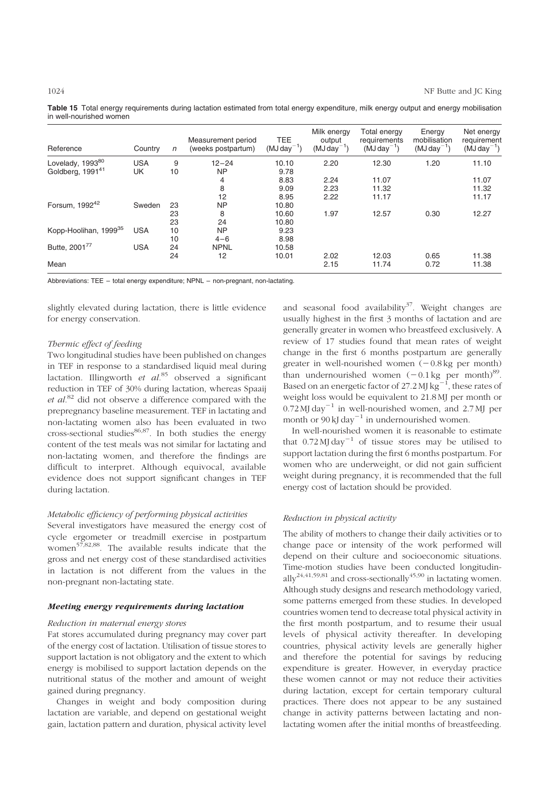<span id="page-14-0"></span>Table 15 Total energy requirements during lactation estimated from total energy expenditure, milk energy output and energy mobilisation in well-nourished women

| Reference                         | Country    | n  | Measurement period<br>(weeks postpartum) | <b>TEE</b><br>$(MJday^{-1})$ | Milk energy<br>output<br>$(MJ day^{-1})$ | Total energy<br>requirements<br>$(MJday^{-1})$ | Energy<br>mobilisation<br>$(MJday^{-1})$ | Net energy<br>requirement<br>$(MJday^{-1})$ |
|-----------------------------------|------------|----|------------------------------------------|------------------------------|------------------------------------------|------------------------------------------------|------------------------------------------|---------------------------------------------|
| Lovelady, 1993 <sup>80</sup>      | <b>USA</b> | 9  | $12 - 24$                                | 10.10                        | 2.20                                     | 12.30                                          | 1.20                                     | 11.10                                       |
| Goldberg, 1991 <sup>41</sup>      | UK         | 10 | <b>NP</b>                                | 9.78                         |                                          |                                                |                                          |                                             |
|                                   |            |    | 4                                        | 8.83                         | 2.24                                     | 11.07                                          |                                          | 11.07                                       |
|                                   |            |    | 8                                        | 9.09                         | 2.23                                     | 11.32                                          |                                          | 11.32                                       |
|                                   |            |    | 12                                       | 8.95                         | 2.22                                     | 11.17                                          |                                          | 11.17                                       |
| Forsum, 1992 <sup>42</sup>        | Sweden     | 23 | <b>NP</b>                                | 10.80                        |                                          |                                                |                                          |                                             |
|                                   |            | 23 | 8                                        | 10.60                        | 1.97                                     | 12.57                                          | 0.30                                     | 12.27                                       |
|                                   |            | 23 | 24                                       | 10.80                        |                                          |                                                |                                          |                                             |
| Kopp-Hoolihan, 1999 <sup>35</sup> | <b>USA</b> | 10 | <b>NP</b>                                | 9.23                         |                                          |                                                |                                          |                                             |
|                                   |            | 10 | $4 - 6$                                  | 8.98                         |                                          |                                                |                                          |                                             |
| Butte, 2001 <sup>77</sup>         | <b>USA</b> | 24 | <b>NPNL</b>                              | 10.58                        |                                          |                                                |                                          |                                             |
|                                   |            | 24 | 12                                       | 10.01                        | 2.02                                     | 12.03                                          | 0.65                                     | 11.38                                       |
| Mean                              |            |    |                                          |                              | 2.15                                     | 11.74                                          | 0.72                                     | 11.38                                       |

Abbreviations: TEE – total energy expenditure; NPNL – non-pregnant, non-lactating.

slightly elevated during lactation, there is little evidence for energy conservation.

# Thermic effect of feeding

Two longitudinal studies have been published on changes in TEF in response to a standardised liquid meal during lactation. Illingworth et  $al^{85}$  observed a significant reduction in TEF of 30% during lactation, whereas Spaaij et  $al$ .<sup>82</sup> did not observe a difference compared with the prepregnancy baseline measurement. TEF in lactating and non-lactating women also has been evaluated in two cross-sectional studies<sup>86,87</sup>. In both studies the energy content of the test meals was not similar for lactating and non-lactating women, and therefore the findings are difficult to interpret. Although equivocal, available evidence does not support significant changes in TEF during lactation.

#### Metabolic efficiency of performing physical activities

Several investigators have measured the energy cost of cycle ergometer or treadmill exercise in postpartum women<sup>57,82,88</sup>. The available results indicate that the gross and net energy cost of these standardised activities in lactation is not different from the values in the non-pregnant non-lactating state.

#### Meeting energy requirements during lactation

#### Reduction in maternal energy stores

Fat stores accumulated during pregnancy may cover part of the energy cost of lactation. Utilisation of tissue stores to support lactation is not obligatory and the extent to which energy is mobilised to support lactation depends on the nutritional status of the mother and amount of weight gained during pregnancy.

Changes in weight and body composition during lactation are variable, and depend on gestational weight gain, lactation pattern and duration, physical activity level

and seasonal food availability<sup>37</sup>. Weight changes are usually highest in the first 3 months of lactation and are generally greater in women who breastfeed exclusively. A review of 17 studies found that mean rates of weight change in the first 6 months postpartum are generally greater in well-nourished women  $(-0.8 \text{ kg per month})$ than undernourished women  $(-0.1 \text{ kg per month})^{89}$ . Based on an energetic factor of 27.2 MJ  $\text{kg}^{-1}$ , these rates of weight loss would be equivalent to 21.8 MJ per month or  $0.72$  MJ day<sup>-1</sup> in well-nourished women, and 2.7 MJ per month or  $90 \text{ kJ day}^{-1}$  in undernourished women.

In well-nourished women it is reasonable to estimate that  $0.72$  MJ day<sup>-1</sup> of tissue stores may be utilised to support lactation during the first 6 months postpartum. For women who are underweight, or did not gain sufficient weight during pregnancy, it is recommended that the full energy cost of lactation should be provided.

# Reduction in physical activity

The ability of mothers to change their daily activities or to change pace or intensity of the work performed will depend on their culture and socioeconomic situations. Time-motion studies have been conducted longitudinally<sup>24,41,59,81</sup> and cross-sectionally<sup>45,90</sup> in lactating women. Although study designs and research methodology varied, some patterns emerged from these studies. In developed countries women tend to decrease total physical activity in the first month postpartum, and to resume their usual levels of physical activity thereafter. In developing countries, physical activity levels are generally higher and therefore the potential for savings by reducing expenditure is greater. However, in everyday practice these women cannot or may not reduce their activities during lactation, except for certain temporary cultural practices. There does not appear to be any sustained change in activity patterns between lactating and nonlactating women after the initial months of breastfeeding.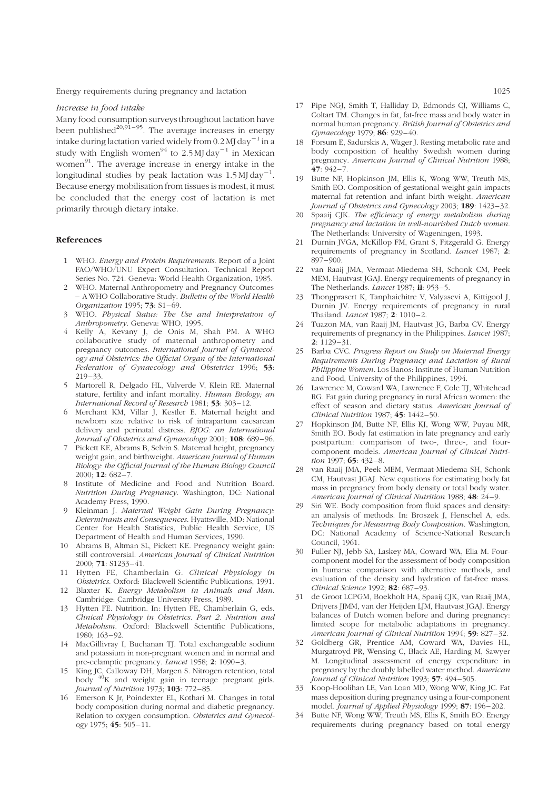#### Increase in food intake

Many food consumption surveys throughout lactation have been published<sup>20,91-95</sup>. The average increases in energy intake during lactation varied widely from 0.2 MJ day<sup>-1</sup> in a study with English women<sup>94</sup> to 2.5 MJ day<sup>-1</sup> in Mexican women $91$ . The average increase in energy intake in the longitudinal studies by peak lactation was  $1.5$  MJ day<sup>-1</sup>. Because energy mobilisation from tissues is modest, it must be concluded that the energy cost of lactation is met primarily through dietary intake.

#### References

- 1 WHO. Energy and Protein Requirements. Report of a Joint FAO/WHO/UNU Expert Consultation. Technical Report Series No. 724. Geneva: World Health Organization, 1985.
- 2 WHO. Maternal Anthropometry and Pregnancy Outcomes – A WHO Collaborative Study. Bulletin of the World Health Organization 1995; 73: S1–69.
- 3 WHO. Physical Status: The Use and Interpretation of Anthropometry. Geneva: WHO, 1995.
- 4 Kelly A, Kevany J, de Onis M, Shah PM. A WHO collaborative study of maternal anthropometry and pregnancy outcomes. International Journal of Gynaecology and Obstetrics: the Official Organ of the International Federation of Gynaecology and Obstetrics 1996; 53:  $219 - 33$
- 5 Martorell R, Delgado HL, Valverde V, Klein RE. Maternal stature, fertility and infant mortality. Human Biology; an International Record of Research 1981; 53: 303-12.
- 6 Merchant KM, Villar J, Kestler E. Maternal height and newborn size relative to risk of intrapartum caesarean delivery and perinatal distress. BJOG: an International Journal of Obstetrics and Gynaecology 2001; 108: 689 –96.
- 7 Pickett KE, Abrams B, Selvin S. Maternal height, pregnancy weight gain, and birthweight. American Journal of Human Biology: the Official Journal of the Human Biology Council 2000; 12: 682-7.
- Institute of Medicine and Food and Nutrition Board. Nutrition During Pregnancy. Washington, DC: National Academy Press, 1990.
- Kleinman J. Maternal Weight Gain During Pregnancy: Determinants and Consequences. Hyattsville, MD: National Center for Health Statistics, Public Health Service, US Department of Health and Human Services, 1990.
- 10 Abrams B, Altman SL, Pickett KE. Pregnancy weight gain: still controversial. American Journal of Clinical Nutrition  $2000: 71: S1233 - 41.$
- 11 Hytten FE, Chamberlain G. Clinical Physiology in Obstetrics. Oxford: Blackwell Scientific Publications, 1991.
- 12 Blaxter K. Energy Metabolism in Animals and Man. Cambridge: Cambridge University Press, 1989.
- 13 Hytten FE. Nutrition. In: Hytten FE, Chamberlain G, eds. Clinical Physiology in Obstetrics. Part 2. Nutrition and Metabolism. Oxford: Blackwell Scientific Publications,  $1980 \cdot 163 - 92$
- 14 MacGillivray I, Buchanan TJ. Total exchangeable sodium and potassium in non-pregnant women and in normal and pre-eclamptic pregnancy. Lancet 1958; 2: 1090-3.
- 15 King JC, Calloway DH, Margen S. Nitrogen retention, total body <sup>40</sup>K and weight gain in teenage pregnant girls. Journal of Nutrition 1973; **103**: 772-85.
- 16 Emerson K Jr, Poindexter EL, Kothari M. Changes in total body composition during normal and diabetic pregnancy. Relation to oxygen consumption. Obstetrics and Gynecol $ogy$  1975; 45: 505-11.
- 17 Pipe NGJ, Smith T, Halliday D, Edmonds CJ, Williams C, Coltart TM. Changes in fat, fat-free mass and body water in normal human pregnancy. British Journal of Obstetrics and Gynaecology 1979; 86: 929-40.
- 18 Forsum E, Sadurskis A, Wager J. Resting metabolic rate and body composition of healthy Swedish women during pregnancy. American Journal of Clinical Nutrition 1988; 47: 942 – 7.
- 19 Butte NF, Hopkinson JM, Ellis K, Wong WW, Treuth MS, Smith EO. Composition of gestational weight gain impacts maternal fat retention and infant birth weight. American Journal of Obstetrics and Gynecology 2003; 189: 1423-32.
- 20 Spaaij CJK. The efficiency of energy metabolism during pregnancy and lactation in well-nourished Dutch women. The Netherlands: University of Wageningen, 1993.
- 21 Durnin JVGA, McKillop FM, Grant S, Fitzgerald G. Energy requirements of pregnancy in Scotland. Lancet 1987; 2:  $897 - 900$
- 22 van Raaij JMA, Vermaat-Miedema SH, Schonk CM, Peek MEM, Hautvast JGAJ. Energy requirements of pregnancy in The Netherlands. Lancet 1987; ii: 953-5.
- 23 Thongprasert K, Tanphaichitre V, Valyasevi A, Kittigool J, Durnin JV. Energy requirements of pregnancy in rural Thailand. *Lancet* 1987; 2: 1010-2.
- 24 Tuazon MA, van Raaij JM, Hautvast JG, Barba CV. Energy requirements of pregnancy in the Philippines. Lancet 1987;  $2: 1129 - 31.$
- Barba CVC. Progress Report on Study on Maternal Energy Requirements During Pregnancy and Lactation of Rural Philippine Women. Los Banos: Institute of Human Nutrition and Food, University of the Philippines, 1994.
- 26 Lawrence M, Coward WA, Lawrence F, Cole TJ, Whitehead RG. Fat gain during pregnancy in rural African women: the effect of season and dietary status. American Journal of Clinical Nutrition 1987; 45: 1442-50.
- 27 Hopkinson JM, Butte NF, Ellis KJ, Wong WW, Puyau MR, Smith EO. Body fat estimation in late pregnancy and early postpartum: comparison of two-, three-, and fourcomponent models. American Journal of Clinical Nutrition 1997;  $65: 432 - 8$ .
- 28 van Raaij JMA, Peek MEM, Vermaat-Miedema SH, Schonk CM, Hautvast JGAJ. New equations for estimating body fat mass in pregnancy from body density or total body water. American Journal of Clinical Nutrition 1988; 48: 24 –9.
- 29 Siri WE. Body composition from fluid spaces and density: an analysis of methods. In: Broszek J, Henschel A, eds. Techniques for Measuring Body Composition. Washington, DC: National Academy of Science-National Research Council, 1961.
- 30 Fuller NJ, Jebb SA, Laskey MA, Coward WA, Elia M. Fourcomponent model for the assessment of body composition in humans: comparison with alternative methods, and evaluation of the density and hydration of fat-free mass. Clinical Science 1992; 82: 687-93.
- 31 de Groot LCPGM, Boekholt HA, Spaaij CJK, van Raaij JMA, Drijvers JJMM, van der Heijden LJM, Hautvast JGAJ. Energy balances of Dutch women before and during pregnancy: limited scope for metabolic adaptations in pregnancy. American Journal of Clinical Nutrition 1994; 59: 827-32.
- 32 Goldberg GR, Prentice AM, Coward WA, Davies HL, Murgatroyd PR, Wensing C, Black AE, Harding M, Sawyer M. Longitudinal assessment of energy expenditure in pregnancy by the doubly labelled water method. American Journal of Clinical Nutrition 1993; 57: 494-505.
- 33 Koop-Hoolihan LE, Van Loan MD, Wong WW, King JC. Fat mass deposition during pregnancy using a four-component model. Journal of Applied Physiology 1999; 87: 196-202.
- 34 Butte NF, Wong WW, Treuth MS, Ellis K, Smith EO. Energy requirements during pregnancy based on total energy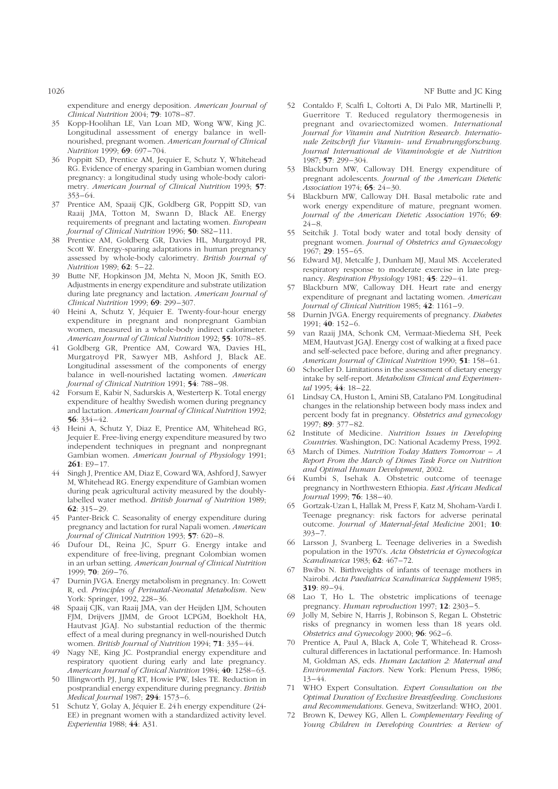1026 NF Butte and JC King

expenditure and energy deposition. American Journal of Clinical Nutrition 2004; 79: 1078 –87.

- 35 Kopp-Hoolihan LE, Van Loan MD, Wong WW, King JC. Longitudinal assessment of energy balance in wellnourished, pregnant women. American Journal of Clinical Nutrition 1999; 69: 697-704.
- 36 Poppitt SD, Prentice AM, Jequier E, Schutz Y, Whitehead RG. Evidence of energy sparing in Gambian women during pregnancy: a longitudinal study using whole-body calorimetry. American Journal of Clinical Nutrition 1993; 57: 353 –64.
- 37 Prentice AM, Spaaij CJK, Goldberg GR, Poppitt SD, van Raaij JMA, Totton M, Swann D, Black AE. Energy requirements of pregnant and lactating women. European Journal of Clinical Nutrition 1996; 50: S82-111.
- 38 Prentice AM, Goldberg GR, Davies HL, Murgatroyd PR, Scott W. Energy-sparing adaptations in human pregnancy assessed by whole-body calorimetry. British Journal of Nutrition 1989; **62**: 5-22.
- 39 Butte NF, Hopkinson JM, Mehta N, Moon JK, Smith EO. Adjustments in energy expenditure and substrate utilization during late pregnancy and lactation. American Journal of Clinical Nutrition 1999; 69: 299 – 307.
- 40 Heini A, Schutz Y, Jéquier E. Twenty-four-hour energy expenditure in pregnant and nonpregnant Gambian women, measured in a whole-body indirect calorimeter. American Journal of Clinical Nutrition 1992; 55: 1078-85.
- 41 Goldberg GR, Prentice AM, Coward WA, Davies HL, Murgatroyd PR, Sawyer MB, Ashford J, Black AE. Longitudinal assessment of the components of energy balance in well-nourished lactating women. American Journal of Clinical Nutrition 1991; 54: 788-98.
- 42 Forsum E, Kabir N, Sadurskis A, Westerterp K. Total energy expenditure of healthy Swedish women during pregnancy and lactation. American Journal of Clinical Nutrition 1992; 56: 334 –42.
- 43 Heini A, Schutz Y, Diaz E, Prentice AM, Whitehead RG, Jequier E. Free-living energy expenditure measured by two independent techniques in pregnant and nonpregnant Gambian women. American Journal of Physiology 1991; 261: E9-17.
- 44 Singh J, Prentice AM, Diaz E, Coward WA, Ashford J, Sawyer M, Whitehead RG. Energy expenditure of Gambian women during peak agricultural activity measured by the doublylabelled water method. British Journal of Nutrition 1989; 62: 315 –29.
- 45 Panter-Brick C. Seasonality of energy expenditure during pregnancy and lactation for rural Napali women. American Journal of Clinical Nutrition 1993; 57: 620-8.
- 46 Dufour DL, Reina JC, Spurr G. Energy intake and expenditure of free-living, pregnant Colombian women in an urban setting. American Journal of Clinical Nutrition  $1999: 70: 269 - 76.$
- 47 Durnin JVGA. Energy metabolism in pregnancy. In: Cowett R, ed. Principles of Perinatal-Neonatal Metabolism. New York: Springer, 1992, 228-36.
- 48 Spaaij CJK, van Raaij JMA, van der Heijden LJM, Schouten FJM, Drijvers JJMM, de Groot LCPGM, Boekholt HA, Hautvast JGAJ. No substantial reduction of the thermic effect of a meal during pregnancy in well-nourished Dutch women. British Journal of Nutrition 1994; 71: 335-44.
- 49 Nagy NE, King JC. Postprandial energy expenditure and respiratory quotient during early and late pregnancy. American Journal of Clinical Nutrition 1984; 40: 1258-63.
- 50 Illingworth PJ, Jung RT, Howie PW, Isles TE. Reduction in postprandial energy expenditure during pregnancy. British Medical Journal 1987; 294: 1573-6.
- 51 Schutz Y, Golay A, Jéquier E. 24 h energy expenditure (24-EE) in pregnant women with a standardized activity level. Experientia 1988; 44: A31.
- 52 Contaldo F, Scalfi L, Coltorti A, Di Palo MR, Martinelli P, Guerritore T. Reduced regulatory thermogenesis in pregnant and ovariectomized women. International Journal for Vitamin and Nutrition Research. Internationale Zeitschrift fur Vitamin- und Ernahrungsforschung. Journal International de Vitaminologie et de Nutrition 1987; 57: 299 – 304.
- 53 Blackburn MW, Calloway DH. Energy expenditure of pregnant adolescents. Journal of the American Dietetic Association 1974; **65**: 24-30.
- 54 Blackburn MW, Calloway DH. Basal metabolic rate and work energy expenditure of mature, pregnant women. Journal of the American Dietetic Association 1976; 69:  $24 - 8.$
- 55 Seitchik J. Total body water and total body density of pregnant women. Journal of Obstetrics and Gynaecology 1967; 29: 155 – 65.
- 56 Edward MJ, Metcalfe J, Dunham MJ, Maul MS. Accelerated respiratory response to moderate exercise in late pregnancy. Respiration Physiology 1981;  $45: 229-41$ .
- 57 Blackburn MW, Calloway DH. Heart rate and energy expenditure of pregnant and lactating women. American Journal of Clinical Nutrition 1985; 42: 1161-9.
- 58 Durnin JVGA. Energy requirements of pregnancy. Diabetes 1991: 40: 152-6.
- 59 van Raaij JMA, Schonk CM, Vermaat-Miedema SH, Peek MEM, Hautvast JGAJ. Energy cost of walking at a fixed pace and self-selected pace before, during and after pregnancy. American Journal of Clinical Nutrition 1990; 51: 158-61.
- 60 Schoeller D. Limitations in the assessment of dietary energy intake by self-report. Metabolism Clinical and Experimental 1995; 44: 18-22.
- 61 Lindsay CA, Huston L, Amini SB, Catalano PM. Longitudinal changes in the relationship between body mass index and percent body fat in pregnancy. Obstetrics and gynecology 1997 $\cdot$  89 $\cdot$  377 $-82$ .
- 62 Institute of Medicine. Nutrition Issues in Developing Countries. Washington, DC: National Academy Press, 1992.
- 63 March of Dimes. Nutrition Today Matters Tomorrow  $A$ Report From the March of Dimes Task Force on Nutrition and Optimal Human Development, 2002.
- 64 Kumbi S, Isehak A. Obstetric outcome of teenage pregnancy in Northwestern Ethiopia. East African Medical Journal 1999; **76**: 138-40.
- 65 Gortzak-Uzan L, Hallak M, Press F, Katz M, Shoham-Vardi I. Teenage pregnancy: risk factors for adverse perinatal outcome. Journal of Maternal-fetal Medicine 2001; 10:  $393 - 7.$
- 66 Larsson J, Svanberg L. Teenage deliveries in a Swedish population in the 1970's. Acta Obstetricia et Gynecologica Scandinavica 1983; 62: 467-72.
- 67 Bwibo N. Birthweights of infants of teenage mothers in Nairobi. Acta Paediatrica Scandinavica Supplement 1985; 319 $\cdot$  89 $-$ 94.
- 68 Lao T, Ho L. The obstetric implications of teenage pregnancy. Human reproduction 1997; 12: 2303-5.
- Jolly M, Sebire N, Harris J, Robinson S, Regan L. Obstetric risks of pregnancy in women less than 18 years old. Obstetrics and Gynecology 2000; 96: 962-6.
- 70 Prentice A, Paul A, Black A, Cole T, Whitehead R. Crosscultural differences in lactational performance. In: Hamosh M, Goldman AS, eds. Human Lactation 2: Maternal and Environmental Factors. New York: Plenum Press, 1986; 13– 44.
- 71 WHO Expert Consultation. Expert Consultation on the Optimal Duration of Exclusive Breastfeeding. Conclusions and Recommendations. Geneva, Switzerland: WHO, 2001.
- 72 Brown K, Dewey KG, Allen L. Complementary Feeding of Young Children in Developing Countries: a Review of